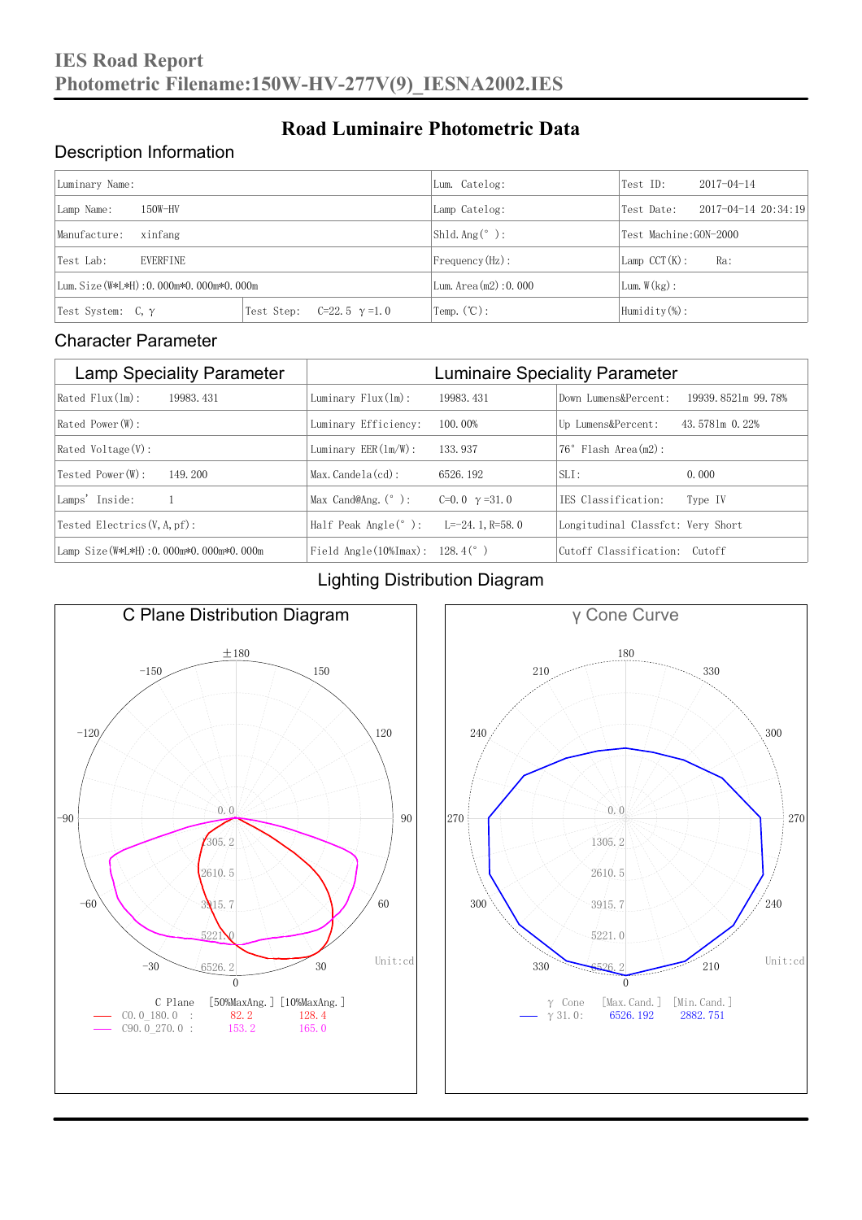#### Description Information

| Luminary Name:                          |                                     | Lum. Catelog:                | Test ID:              | $2017 - 04 - 14$ |  |
|-----------------------------------------|-------------------------------------|------------------------------|-----------------------|------------------|--|
| $150W-HV$<br>Lamp Name:                 | Lamp Catelog:                       | Test Date:                   | 2017-04-14 20:34:19   |                  |  |
| Manufacture:<br>xinfang                 |                                     | $Shld$ Ang(°):               | Test Machine:GON-2000 |                  |  |
| <b>EVERFINE</b><br>Test Lab:            |                                     | $Frequency(Hz)$ :            | $Lamp$ CCT(K):        | Ra:              |  |
| Lum. Size (W*L*H): 0.000m*0.000m*0.000m |                                     | Lum. Area $(m2)$ : 0.000     | Lum. $W(kg)$ :        |                  |  |
| Test System: $C, \gamma$                | Test Step:<br>$C=22.5$ $\gamma=1.0$ | $\text{Temp.} (\text{°C})$ : | Humidity $(\%)$ :     |                  |  |

**Road Luminaire Photometric Data**

#### Character Parameter

| <b>Lamp Speciality Parameter</b>       | <b>Luminaire Speciality Parameter</b>                               |                       |                                   |                    |
|----------------------------------------|---------------------------------------------------------------------|-----------------------|-----------------------------------|--------------------|
| $Rated$ $Flux(1m)$ :<br>19983, 431     | Luminary $Flux(ln):$                                                | 19983, 431            | Down Lumens&Percent:              | 19939.8521m 99.78% |
| Rated Power (W):                       | Luminary Efficiency:                                                | 100.00%               | Up Lumens&Percent:                | 43.5781m 0.22%     |
| $Rated$ Voltage $(V)$ :                | Luminary $EER(\ln/W)$ :                                             | 133, 937              | $76°$ Flash Area $(m2)$ :         |                    |
| Tested Power(W):<br>149, 200           | $Max. Candela(cd)$ :                                                | 6526, 192             | $SLI$ :                           | 0.000              |
| Lamps' Inside:                         | Max Cand@Ang. $(°)$ :                                               | C=0.0 $\gamma$ =31.0  | IES Classification:               | Type IV            |
| Tested Electrics $(V, A, pf)$ :        | Half Peak Angle $(°)$ :                                             | L= $-24$ , 1, R=58, 0 | Longitudinal Classfct: Very Short |                    |
| Lamp Size(W*L*H): 0.000m*0.000m*0.000m | Field Angle $(10\text{\%} \text{Im} \text{ax})$ : 128.4 $(^\circ$ ) |                       | Cutoff Classification: Cutoff     |                    |

#### Lighting Distribution Diagram



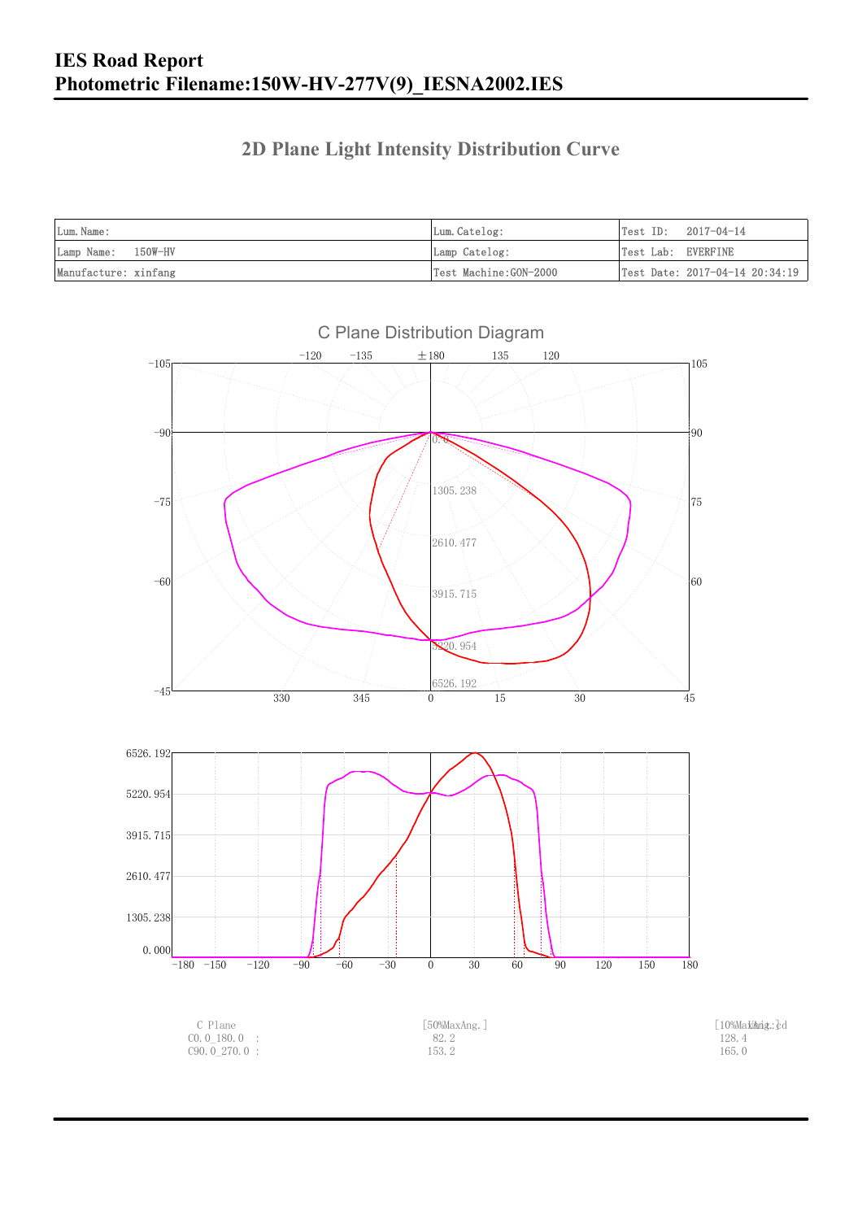### **2D Plane Light Intensity Distribution Curve**

| Lum. Name:           | Lum. Catelog:         | $Test ID: 2017-04-14$ |                                                |
|----------------------|-----------------------|-----------------------|------------------------------------------------|
| Lamp Name: 150W-HV   | Lamp Catelog:         | Test Lab: EVERFINE    |                                                |
| Manufacture: xinfang | Test Machine:GON-2000 |                       | $\vert$ Test Date: 2017-04-14 20:34:19 $\vert$ |



C Plane Distribution Diagram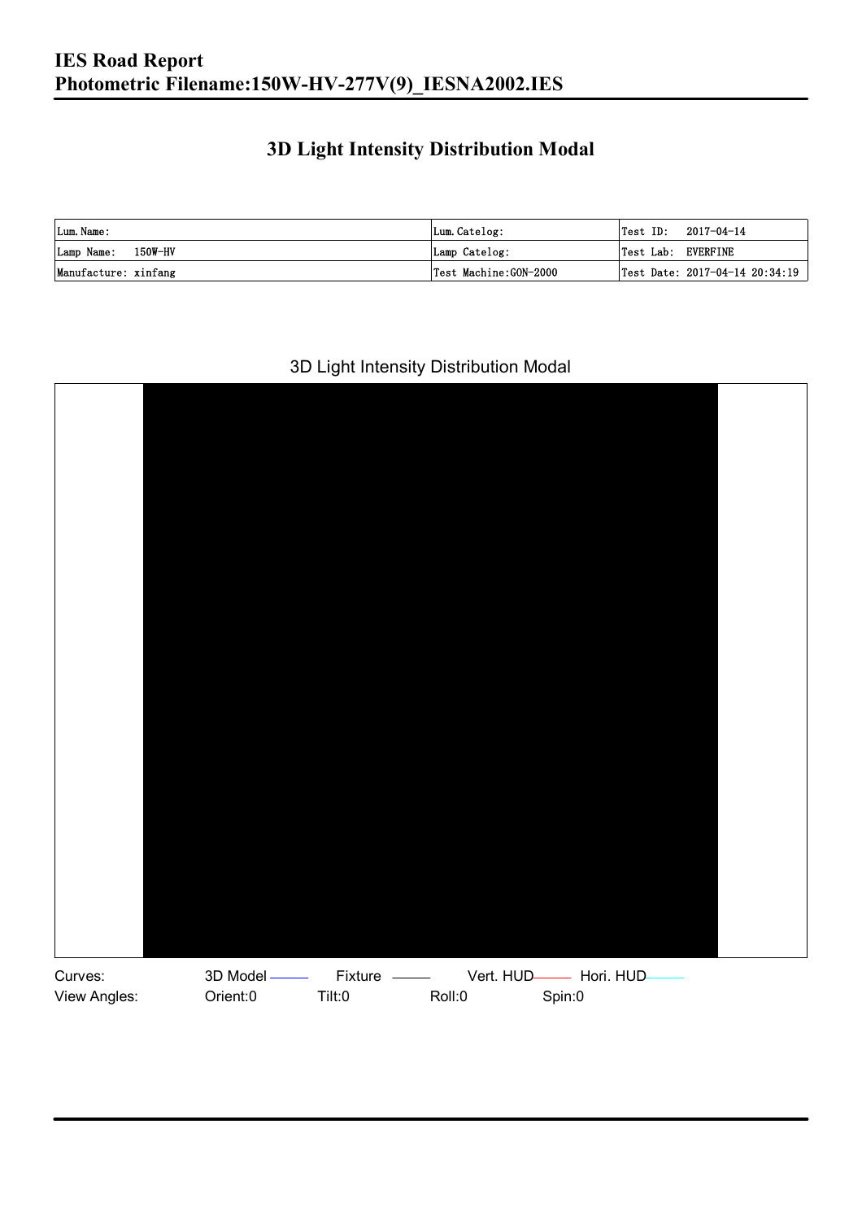### **3D Light Intensity Distribution Modal**

| Lum. Name:           | Lum. Catelog:         |                    | $\textsf{Test ID:} \quad 2017-04-14$ |
|----------------------|-----------------------|--------------------|--------------------------------------|
| Lamp Name: 150W-HV   | Lamp Catelog:         | Test Lab: EVERFINE |                                      |
| Manufacture: xinfang | Test Machine:GON-2000 |                    | Test Date: 2017-04-14 20:34:19       |

#### 3D Light Intensity Distribution Modal

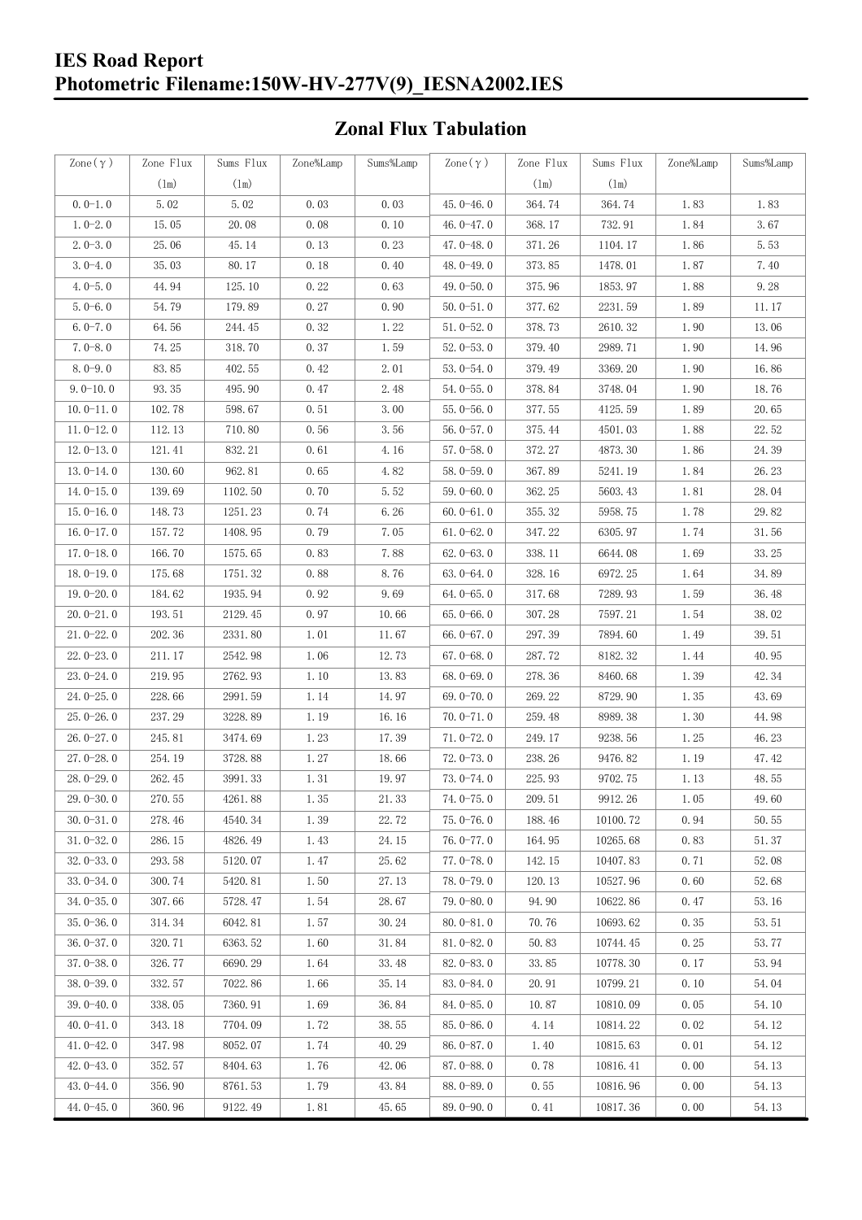### **IES Road Report Photometric Filename:150W-HV-277V(9)\_IESNA2002.IES**

### **Zonal Flux Tabulation**

| Zone $(\gamma)$ | Zone Flux     | Sums Flux     | Zone%Lamp | Sums%Lamp | Zone $(\gamma)$ | Zone Flux | Sums Flux | Zone%Lamp            | Sums%Lamp |
|-----------------|---------------|---------------|-----------|-----------|-----------------|-----------|-----------|----------------------|-----------|
|                 | $(\text{lm})$ | $(\text{lm})$ |           |           |                 | (1m)      | (1m)      |                      |           |
| $0.0-1.0$       | 5.02          | 5.02          | 0.03      | 0.03      | $45.0 - 46.0$   | 364.74    | 364.74    | 1.83                 | 1.83      |
| $1.0 - 2.0$     | 15.05         | 20.08         | 0.08      | 0.10      | 46.0 $-47.0$    | 368.17    | 732.91    | 1.84                 | 3.67      |
| $2.0 - 3.0$     | 25.06         | 45.14         | 0.13      | 0.23      | 47.0-48.0       | 371.26    | 1104.17   | 1.86                 | 5.53      |
| $3.0 - 4.0$     | 35.03         | 80.17         | 0.18      | 0.40      | 48.0-49.0       | 373.85    | 1478.01   | 1.87                 | 7.40      |
| $4.0 - 5.0$     | 44.94         | 125.10        | 0.22      | 0.63      | 49.0 $-50.0$    | 375.96    | 1853.97   | 1.88                 | 9.28      |
| $5.0 - 6.0$     | 54.79         | 179.89        | 0.27      | 0.90      | $50.0 - 51.0$   | 377.62    | 2231.59   | 1.89                 | 11.17     |
| $6.0 - 7.0$     | 64.56         | 244.45        | 0.32      | 1.22      | $51.0 - 52.0$   | 378.73    | 2610.32   | 1.90                 | 13.06     |
| $7.0 - 8.0$     | 74.25         | 318.70        | 0.37      | 1.59      | $52.0 - 53.0$   | 379.40    | 2989.71   | 1.90                 | 14.96     |
| $8.0 - 9.0$     | 83.85         | 402.55        | 0.42      | 2.01      | $53.0 - 54.0$   | 379.49    | 3369.20   | 1.90                 | 16.86     |
| $9.0 - 10.0$    | 93.35         | 495.90        | 0.47      | 2.48      | $54.0 - 55.0$   | 378.84    | 3748.04   | 1.90                 | 18.76     |
| $10.0 - 11.0$   | 102.78        | 598.67        | 0.51      | 3.00      | $55.0 - 56.0$   | 377.55    | 4125.59   | 1.89                 | 20.65     |
| $11.0 - 12.0$   | 112.13        | 710.80        | 0.56      | 3.56      | $56.0 - 57.0$   | 375.44    | 4501.03   | 1.88                 | 22.52     |
| $12.0 - 13.0$   | 121.41        | 832.21        | 0.61      | 4.16      | $57.0 - 58.0$   | 372.27    | 4873.30   | 1.86                 | 24.39     |
| $13.0 - 14.0$   | 130.60        | 962.81        | 0.65      | 4.82      | $58.0 - 59.0$   | 367.89    | 5241.19   | 1.84                 | 26.23     |
| $14.0 - 15.0$   | 139.69        | 1102.50       | 0.70      | 5.52      | $59.0 - 60.0$   | 362.25    | 5603.43   | 1.81                 | 28.04     |
| $15.0 - 16.0$   | 148.73        | 1251.23       | 0.74      | 6.26      | $60.0 - 61.0$   | 355.32    | 5958.75   | 1.78                 | 29.82     |
| $16.0 - 17.0$   | 157.72        | 1408.95       | 0.79      | 7.05      | $61.0 - 62.0$   | 347.22    | 6305.97   | 1.74                 | 31.56     |
| $17.0 - 18.0$   | 166.70        | 1575.65       | 0.83      | 7.88      | $62.0 - 63.0$   | 338.11    | 6644.08   | 1.69                 | 33.25     |
| $18.0 - 19.0$   | 175.68        | 1751.32       | 0.88      | 8.76      | $63.0 - 64.0$   | 328.16    | 6972.25   | 1.64                 | 34.89     |
| $19.0 - 20.0$   | 184.62        | 1935.94       | 0.92      | 9.69      | $64.0 - 65.0$   | 317.68    | 7289.93   | 1.59                 | 36.48     |
| $20.0 - 21.0$   | 193.51        | 2129.45       | 0.97      | 10.66     | $65.0 - 66.0$   | 307.28    | 7597.21   | 1.54                 | 38.02     |
| $21.0 - 22.0$   | 202.36        | 2331.80       | 1.01      | 11.67     | $66.0 - 67.0$   | 297.39    | 7894.60   | 1.49                 | 39.51     |
| $22.0 - 23.0$   | 211.17        | 2542.98       | 1.06      | 12.73     | $67.0 - 68.0$   | 287.72    | 8182.32   | 1.44                 | 40.95     |
| $23.0 - 24.0$   | 219.95        | 2762.93       | 1.10      | 13.83     | $68.0 - 69.0$   | 278.36    | 8460.68   | 1.39                 | 42.34     |
| $24.0 - 25.0$   | 228.66        | 2991.59       | 1.14      | 14.97     | 69.0-70.0       | 269.22    | 8729.90   | 1.35                 | 43.69     |
| $25.0 - 26.0$   | 237.29        | 3228.89       | 1.19      | 16.16     | $70.0 - 71.0$   | 259.48    | 8989.38   | 1.30                 | 44.98     |
| $26.0 - 27.0$   | 245.81        | 3474.69       | 1.23      | 17.39     | $71.0 - 72.0$   | 249.17    | 9238.56   | 1.25                 | 46.23     |
| $27.0 - 28.0$   | 254.19        | 3728.88       | 1.27      | 18.66     | $72.0 - 73.0$   | 238.26    | 9476.82   | 1.19                 | 47.42     |
| $28.0 - 29.0$   | 262.45        | 3991.33       | 1.31      | 19.97     | $73.0 - 74.0$   | 225.93    | 9702.75   | 1.13                 | 48.55     |
| 29.0-30.0       | 270.55        | 4261.88       | 1.35      | 21.33     | 74.0-75.0       | 209.51    | 9912.26   | $1.\,\allowbreak 05$ | 49.60     |
| $30.0 - 31.0$   | 278.46        | 4540.34       | 1.39      | 22.72     | $75.0 - 76.0$   | 188.46    | 10100.72  | 0.94                 | 50.55     |
| $31.0 - 32.0$   | 286.15        | 4826.49       | 1.43      | 24.15     | $76.0 - 77.0$   | 164.95    | 10265.68  | 0.83                 | 51.37     |
| $32.0 - 33.0$   | 293.58        | 5120.07       | 1.47      | 25.62     | $77.0 - 78.0$   | 142.15    | 10407.83  | 0.71                 | 52.08     |
| $33.0 - 34.0$   | 300.74        | 5420.81       | 1.50      | 27.13     | 78.0-79.0       | 120.13    | 10527.96  | 0.60                 | 52.68     |
| $34.0 - 35.0$   | 307.66        | 5728.47       | 1.54      | 28.67     | $79.0 - 80.0$   | 94.90     | 10622.86  | 0.47                 | 53.16     |
| $35.0 - 36.0$   | 314.34        | 6042.81       | 1.57      | 30.24     | $80.0 - 81.0$   | 70.76     | 10693.62  | 0.35                 | 53.51     |
| $36.0 - 37.0$   | 320.71        | 6363.52       | 1.60      | 31.84     | $81.0 - 82.0$   | 50.83     | 10744.45  | 0.25                 | 53.77     |
| $37.0 - 38.0$   | 326.77        | 6690.29       | 1.64      | 33.48     | $82.0 - 83.0$   | 33.85     | 10778.30  | 0.17                 | 53.94     |
| $38.0 - 39.0$   | 332.57        | 7022.86       | 1.66      | 35.14     | $83.0 - 84.0$   | 20.91     | 10799.21  | 0.10                 | 54.04     |
| $39.0 - 40.0$   | 338.05        | 7360.91       | 1.69      | 36.84     | 84.0-85.0       | 10.87     | 10810.09  | 0.05                 | 54.10     |
| $40.0 - 41.0$   | 343.18        | 7704.09       | 1.72      | 38.55     | 85.0-86.0       | 4.14      | 10814.22  | 0.02                 | 54.12     |
| $41.0 - 42.0$   | 347.98        | 8052.07       | 1.74      | 40.29     | $86.0 - 87.0$   | 1.40      | 10815.63  | 0.01                 | 54.12     |
| $42.0 - 43.0$   | 352.57        | 8404.63       | 1.76      | 42.06     | 87.0-88.0       | 0.78      | 10816.41  | 0.00                 | 54.13     |
| $43.0 - 44.0$   | 356.90        | 8761.53       | 1.79      | 43.84     | 88.0-89.0       | 0.55      | 10816.96  | 0.00                 | 54.13     |
| $44.0 - 45.0$   | 360.96        | 9122.49       | 1.81      | 45.65     | $89.0 - 90.0$   | 0.41      | 10817.36  | 0.00                 | 54.13     |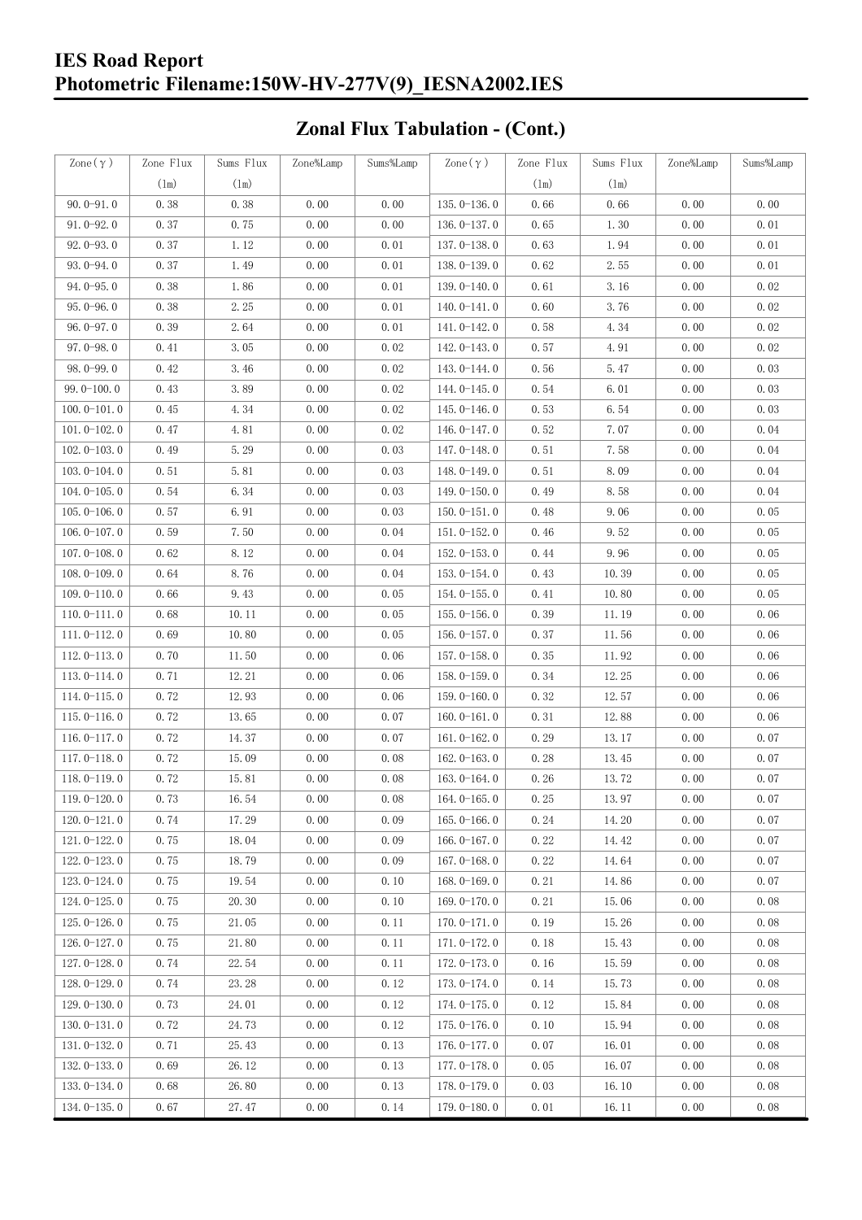### **IES Road Report Photometric Filename:150W-HV-277V(9)\_IESNA2002.IES**

## **Zonal Flux Tabulation - (Cont.)**

| Zone $(\gamma)$ | Zone Flux | Sums Flux | Zone%Lamp | Sums%Lamp | Zone $(\gamma)$ | Zone Flux | Sums Flux | Zone%Lamp | Sums%Lamp |
|-----------------|-----------|-----------|-----------|-----------|-----------------|-----------|-----------|-----------|-----------|
|                 | (1m)      | (1m)      |           |           |                 | (1m)      | $(\ln)$   |           |           |
| $90.0 - 91.0$   | 0.38      | 0.38      | 0.00      | 0.00      | $135.0 - 136.0$ | 0.66      | 0.66      | 0.00      | 0.00      |
| $91.0 - 92.0$   | 0.37      | 0.75      | 0.00      | 0.00      | 136.0-137.0     | 0.65      | 1.30      | 0.00      | 0.01      |
| $92.0 - 93.0$   | 0.37      | 1.12      | 0.00      | 0.01      | 137.0-138.0     | 0.63      | 1.94      | 0.00      | 0.01      |
| 93.0-94.0       | 0.37      | 1.49      | 0.00      | 0.01      | 138.0-139.0     | 0.62      | 2.55      | 0.00      | 0.01      |
| $94.0 - 95.0$   | 0.38      | 1.86      | 0.00      | 0.01      | 139.0-140.0     | 0.61      | 3.16      | 0.00      | 0.02      |
| $95.0 - 96.0$   | 0.38      | 2.25      | 0.00      | 0.01      | $140.0 - 141.0$ | 0.60      | 3.76      | 0.00      | 0.02      |
| $96.0 - 97.0$   | 0.39      | 2.64      | 0.00      | 0.01      | 141.0-142.0     | 0.58      | 4.34      | 0.00      | 0.02      |
| $97.0 - 98.0$   | 0.41      | 3.05      | 0.00      | 0.02      | 142.0-143.0     | 0.57      | 4.91      | 0.00      | 0.02      |
| 98.0-99.0       | 0.42      | 3.46      | 0.00      | 0.02      | 143.0-144.0     | 0.56      | 5.47      | 0.00      | 0.03      |
| $99.0 - 100.0$  | 0.43      | 3.89      | 0.00      | 0.02      | 144.0-145.0     | 0.54      | 6.01      | 0.00      | 0.03      |
| $100.0 - 101.0$ | 0.45      | 4.34      | 0.00      | 0.02      | $145.0 - 146.0$ | 0.53      | 6.54      | 0.00      | 0.03      |
| $101.0 - 102.0$ | 0.47      | 4.81      | 0.00      | 0.02      | 146.0-147.0     | 0.52      | 7.07      | 0.00      | 0.04      |
| $102.0 - 103.0$ | 0.49      | 5.29      | 0.00      | 0.03      | 147.0-148.0     | 0.51      | 7.58      | 0.00      | 0.04      |
| $103.0 - 104.0$ | 0.51      | 5.81      | 0.00      | 0.03      | 148.0-149.0     | 0.51      | 8.09      | 0.00      | 0.04      |
| $104.0 - 105.0$ | 0.54      | 6.34      | 0.00      | 0.03      | $149.0 - 150.0$ | 0.49      | 8.58      | 0.00      | 0.04      |
| $105.0 - 106.0$ | 0.57      | 6.91      | 0.00      | 0.03      | $150.0 - 151.0$ | 0.48      | 9.06      | 0.00      | 0.05      |
| $106.0 - 107.0$ | 0.59      | 7.50      | 0.00      | 0.04      | $151.0 - 152.0$ | 0.46      | 9.52      | 0.00      | 0.05      |
| $107.0 - 108.0$ | 0.62      | 8.12      | 0.00      | 0.04      | $152.0 - 153.0$ | 0.44      | 9.96      | 0.00      | 0.05      |
| $108.0 - 109.0$ | 0.64      | 8.76      | 0.00      | 0.04      | $153.0 - 154.0$ | 0.43      | 10.39     | 0.00      | 0.05      |
| $109.0 - 110.0$ | 0.66      | 9.43      | 0.00      | 0.05      | 154.0-155.0     | 0.41      | 10.80     | 0.00      | 0.05      |
| $110.0 - 111.0$ | 0.68      | 10.11     | 0.00      | 0.05      | $155.0 - 156.0$ | 0.39      | 11.19     | 0.00      | 0.06      |
| $111.0 - 112.0$ | 0.69      | 10.80     | 0.00      | 0.05      | $156.0 - 157.0$ | 0.37      | 11.56     | 0.00      | 0.06      |
| $112.0 - 113.0$ | 0.70      | 11.50     | 0.00      | 0.06      | 157.0-158.0     | 0.35      | 11.92     | 0.00      | 0.06      |
| $113.0 - 114.0$ | 0.71      | 12.21     | 0.00      | 0.06      | 158.0-159.0     | 0.34      | 12.25     | 0.00      | 0.06      |
| $114.0 - 115.0$ | 0.72      | 12.93     | 0.00      | 0.06      | $159.0 - 160.0$ | 0.32      | 12.57     | 0.00      | 0.06      |
| $115.0 - 116.0$ | 0.72      | 13.65     | 0.00      | 0.07      | $160.0 - 161.0$ | 0.31      | 12.88     | 0.00      | 0.06      |
| $116.0 - 117.0$ | 0.72      | 14.37     | 0.00      | 0.07      | $161.0 - 162.0$ | 0.29      | 13.17     | 0.00      | 0.07      |
| $117.0 - 118.0$ | 0.72      | 15.09     | 0.00      | 0.08      | $162.0 - 163.0$ | 0.28      | 13.45     | 0.00      | 0.07      |
| $118.0 - 119.0$ | 0.72      | 15.81     | 0.00      | 0.08      | $163.0 - 164.0$ | 0.26      | 13.72     | 0.00      | 0.07      |
| 119.0-120.0     | 0.73      | 16.54     | 0.00      | 0.08      | 164.0-165.0     | 0.25      | 13.97     | 0.00      | 0.07      |
| $120.0 - 121.0$ | 0.74      | 17.29     | 0.00      | 0.09      | $165.0 - 166.0$ | 0.24      | 14.20     | 0.00      | 0.07      |
| $121.0 - 122.0$ | 0.75      | 18.04     | 0.00      | 0.09      | $166.0 - 167.0$ | 0.22      | 14.42     | 0.00      | 0.07      |
| $122.0 - 123.0$ | 0.75      | 18.79     | 0.00      | 0.09      | $167.0 - 168.0$ | 0.22      | 14.64     | 0.00      | 0.07      |
| $123.0 - 124.0$ | 0.75      | 19.54     | 0.00      | 0.10      | $168.0 - 169.0$ | 0.21      | 14.86     | 0.00      | 0.07      |
| $124.0 - 125.0$ | 0.75      | 20.30     | 0.00      | 0.10      | $169.0 - 170.0$ | 0.21      | 15.06     | 0.00      | 0.08      |
| $125.0 - 126.0$ | 0.75      | 21.05     | 0.00      | 0.11      | $170.0 - 171.0$ | 0.19      | 15.26     | 0.00      | 0.08      |
| $126.0 - 127.0$ | 0.75      | 21.80     | 0.00      | 0.11      | 171.0-172.0     | 0.18      | 15.43     | 0.00      | 0.08      |
| $127.0 - 128.0$ | 0.74      | 22.54     | 0.00      | 0.11      | 172.0-173.0     | 0.16      | 15.59     | 0.00      | 0.08      |
| $128.0 - 129.0$ | 0.74      | 23.28     | 0.00      | 0.12      | 173.0-174.0     | 0.14      | 15.73     | 0.00      | 0.08      |
| $129.0 - 130.0$ | 0.73      | 24.01     | 0.00      | 0.12      | 174.0-175.0     | 0.12      | 15.84     | 0.00      | 0.08      |
| $130.0 - 131.0$ | 0.72      | 24.73     | 0.00      | 0.12      | $175.0 - 176.0$ | 0.10      | 15.94     | 0.00      | 0.08      |
| $131.0 - 132.0$ | 0.71      | 25.43     | 0.00      | 0.13      | 176.0-177.0     | 0.07      | 16.01     | 0.00      | 0.08      |
| $132.0 - 133.0$ | 0.69      | 26.12     | 0.00      | 0.13      | $177.0 - 178.0$ | 0.05      | 16.07     | 0.00      | 0.08      |
| $133.0 - 134.0$ | 0.68      | 26.80     | 0.00      | 0.13      | 178.0-179.0     | 0.03      | 16.10     | 0.00      | 0.08      |
| $134.0 - 135.0$ | 0.67      | 27.47     | 0.00      | 0.14      | $179.0 - 180.0$ | 0.01      | 16.11     | 0.00      | 0.08      |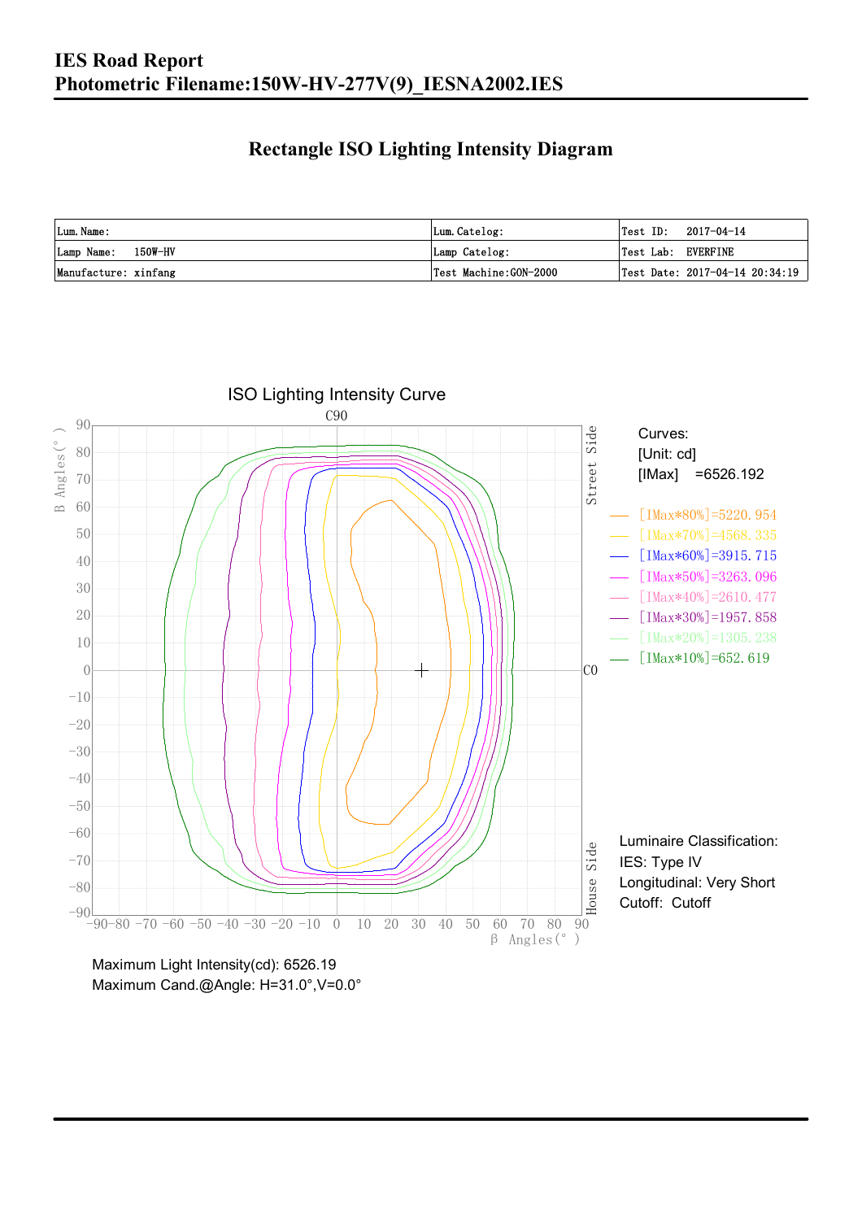### **Rectangle ISO Lighting Intensity Diagram**

| Lum. Name:           | Lum.Catelog:          | $\textsf{Test ID:} \quad 2017-04-14$ |
|----------------------|-----------------------|--------------------------------------|
| Lamp Name: 150W-HV   | Lamp Catelog:         | Test Lab: EVERFINE                   |
| Manufacture: xinfang | Test Machine:GON-2000 | Test Date: $2017-04-14$ $20:34:19$   |

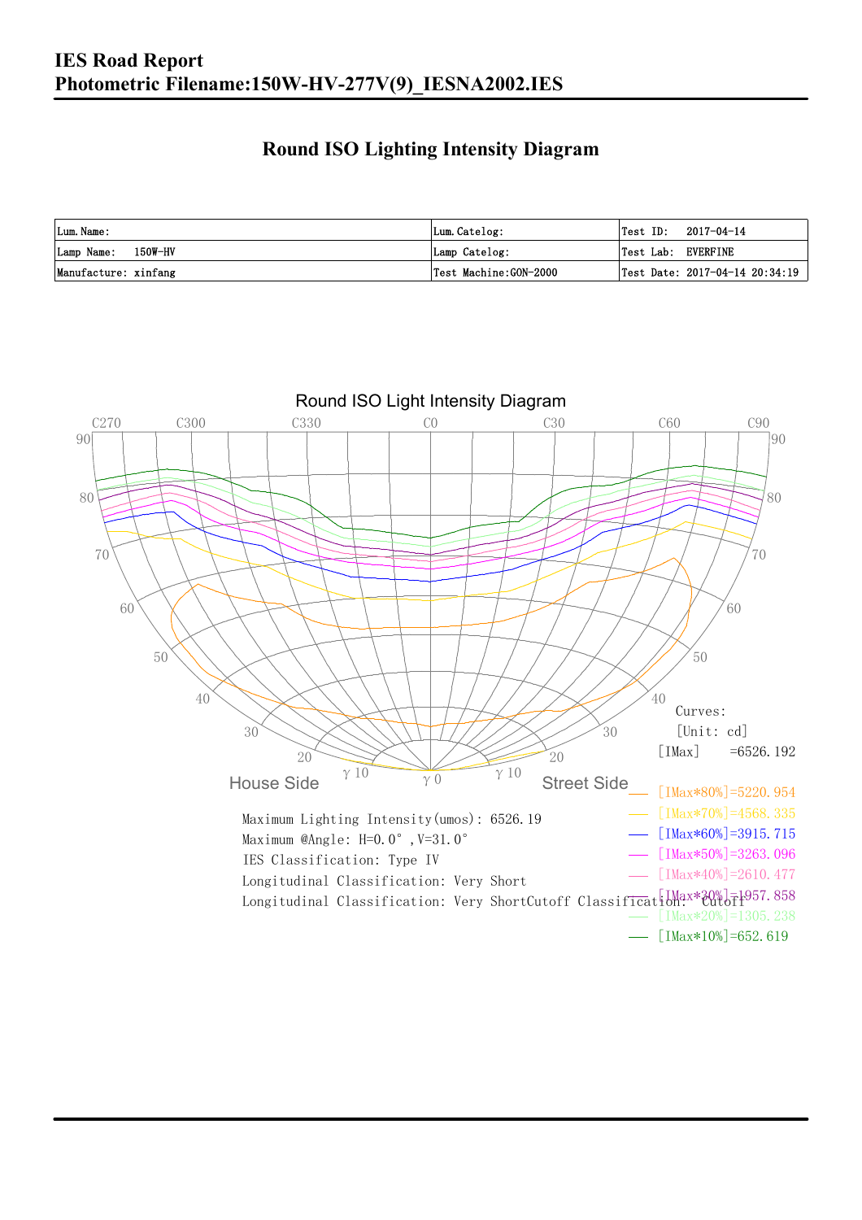#### **Round ISO Lighting Intensity Diagram**

| Lum. Name:           | Lum.Catelog:          | Test ID:<br>2017-04-14             |
|----------------------|-----------------------|------------------------------------|
| Lamp Name: 150W-HV   | Lamp Catelog:         | Test Lab: EVERFINE                 |
| Manufacture: xinfang | Test Machine:GON-2000 | Test Date: $2017-04-14$ $20:34:19$ |

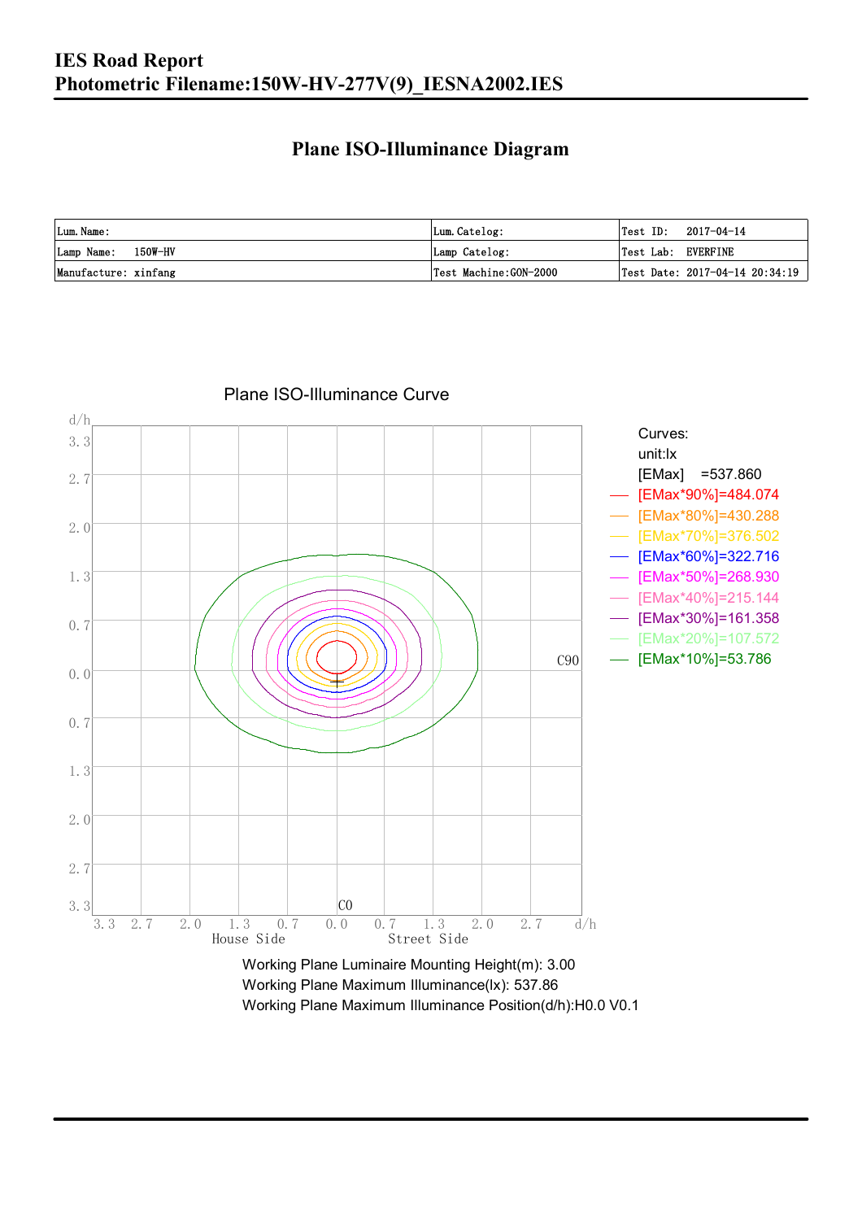#### **Plane ISO-Illuminance Diagram**

| Lum. Name:           | Lum.Catelog:          | $\textsf{Test ID:} \quad 2017-04-14$           |
|----------------------|-----------------------|------------------------------------------------|
| Lamp Name: 150W-HV   | Lamp Catelog:         | Test Lab: EVERFINE                             |
| Manufacture: xinfang | Test Machine:GON-2000 | $\vert$ Test Date: 2017-04-14 20:34:19 $\vert$ |



#### Plane ISO-Illuminance Curve

Working Plane Maximum Illuminance(lx): 537.86 Working Plane Maximum Illuminance Position(d/h):H0.0 V0.1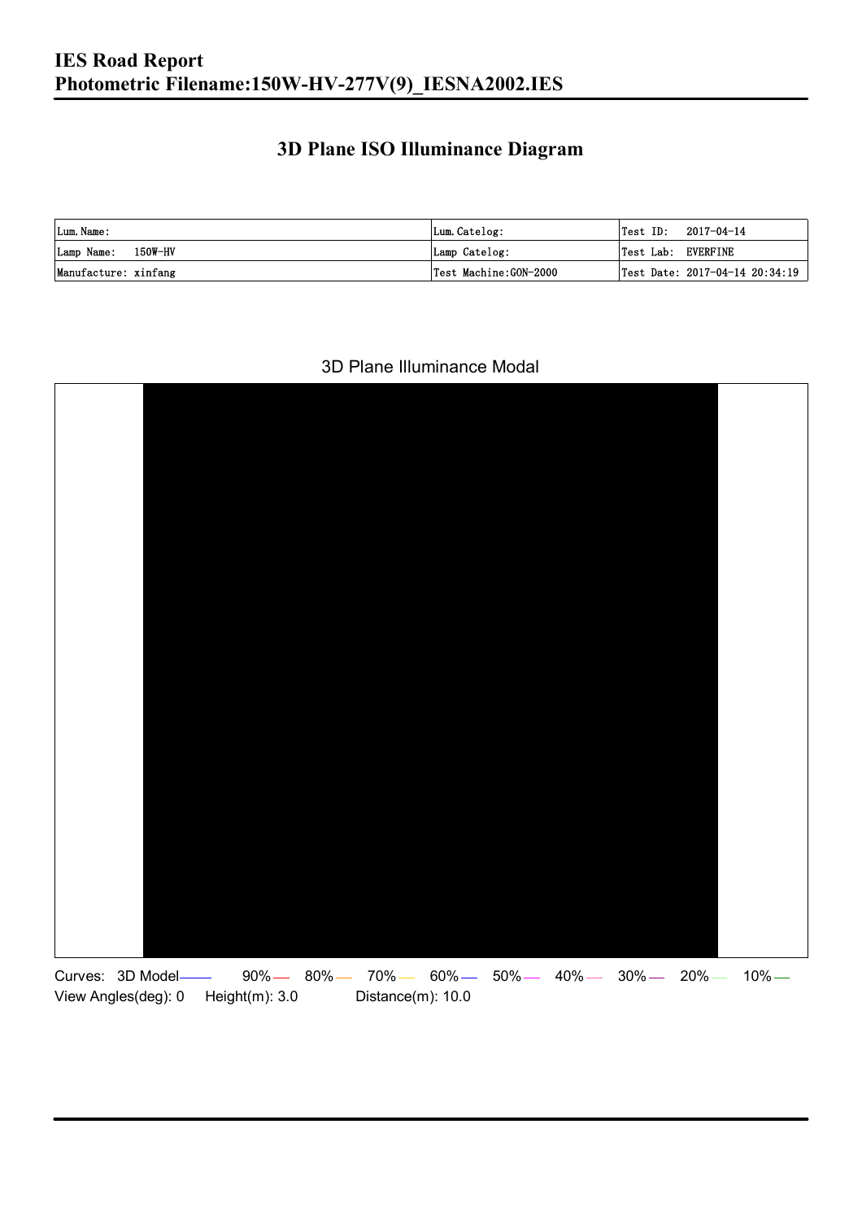### **3D Plane ISO Illuminance Diagram**

| Lum. Name:           | Lum.Catelog:          |                    | $\textsf{Test ID:} \quad 2017-04-14$ |
|----------------------|-----------------------|--------------------|--------------------------------------|
| Lamp Name: 150W-HV   | Lamp Catelog:         | Test Lab: EVERFINE |                                      |
| Manufacture: xinfang | Test Machine:GON-2000 |                    | Test Date: 2017-04-14 20:34:19       |

#### 3D Plane Illuminance Modal

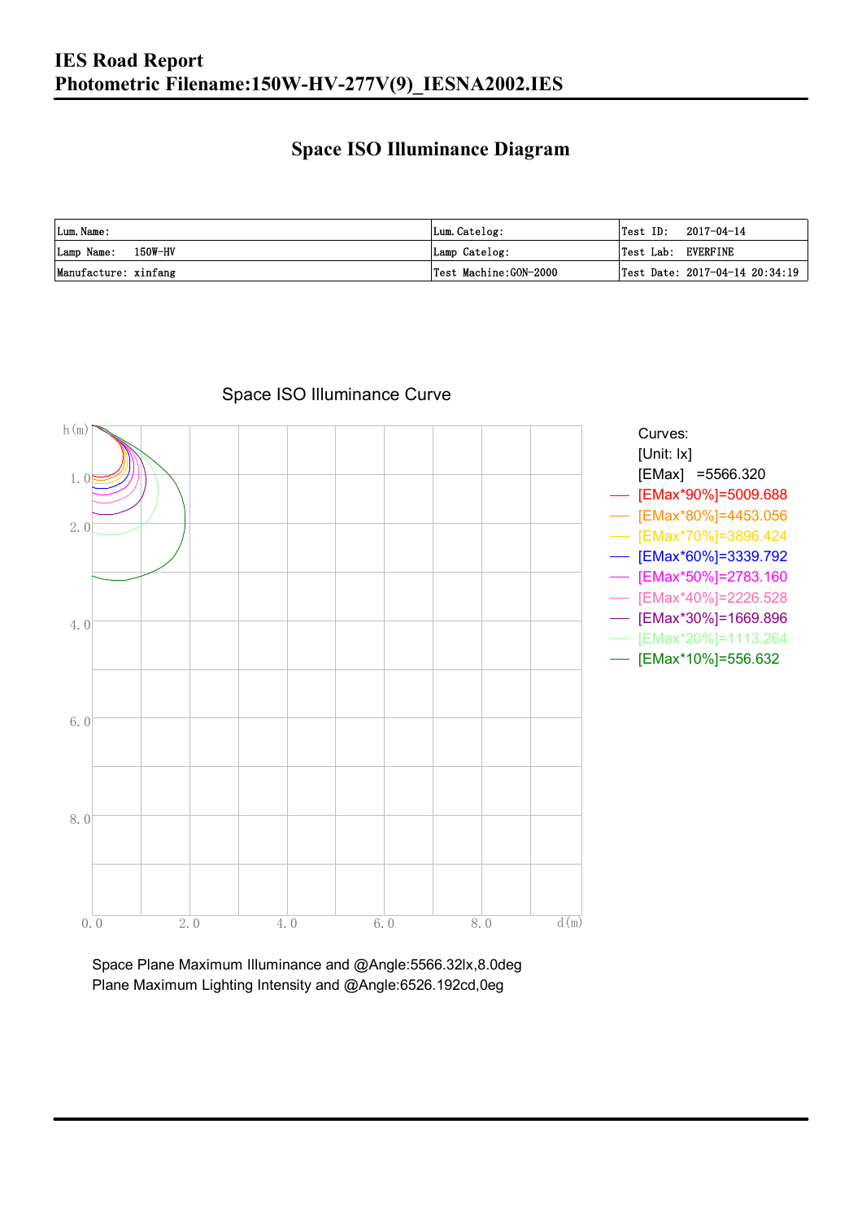#### **Space ISO Illuminance Diagram**

| Lum. Name:           | Lum.Catelog:          | Test ID:<br>2017-04-14             |
|----------------------|-----------------------|------------------------------------|
| Lamp Name: 150W-HV   | Lamp Catelog:         | Test Lab: EVERFINE                 |
| Manufacture: xinfang | Test Machine:GON-2000 | Test Date: $2017-04-14$ $20:34:19$ |



#### Space ISO Illuminance Curve

Space Plane Maximum Illuminance and @Angle:5566.32lx,8.0deg Plane Maximum Lighting Intensity and @Angle:6526.192cd,0eg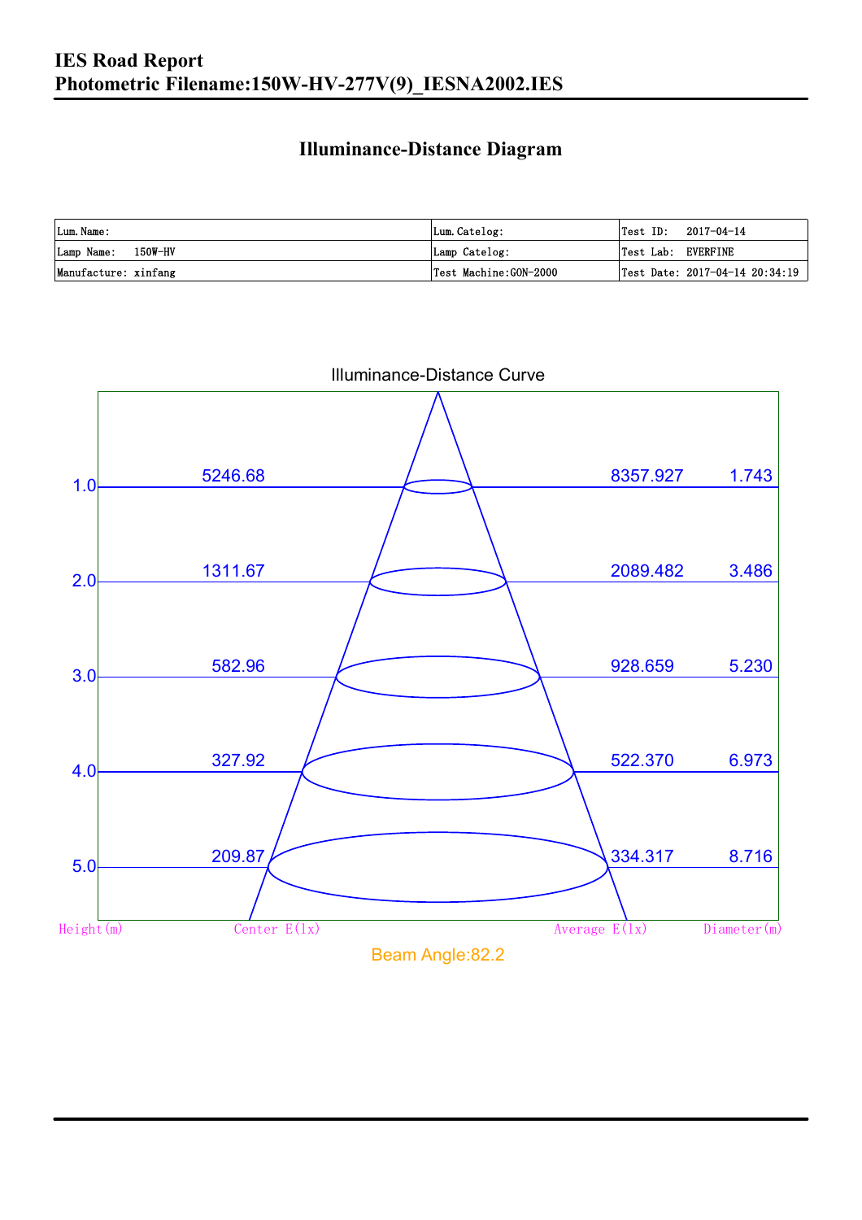### **Illuminance-Distance Diagram**

| Lum. Name:           | Lum.Catelog:          | Test ID:<br>2017-04-14         |
|----------------------|-----------------------|--------------------------------|
| Lamp Name: 150W-HV   | Lamp Catelog:         | Test Lab: EVERFINE             |
| Manufacture: xinfang | Test Machine:GON-2000 | Test Date: 2017-04-14 20:34:19 |



Illuminance-Distance Curve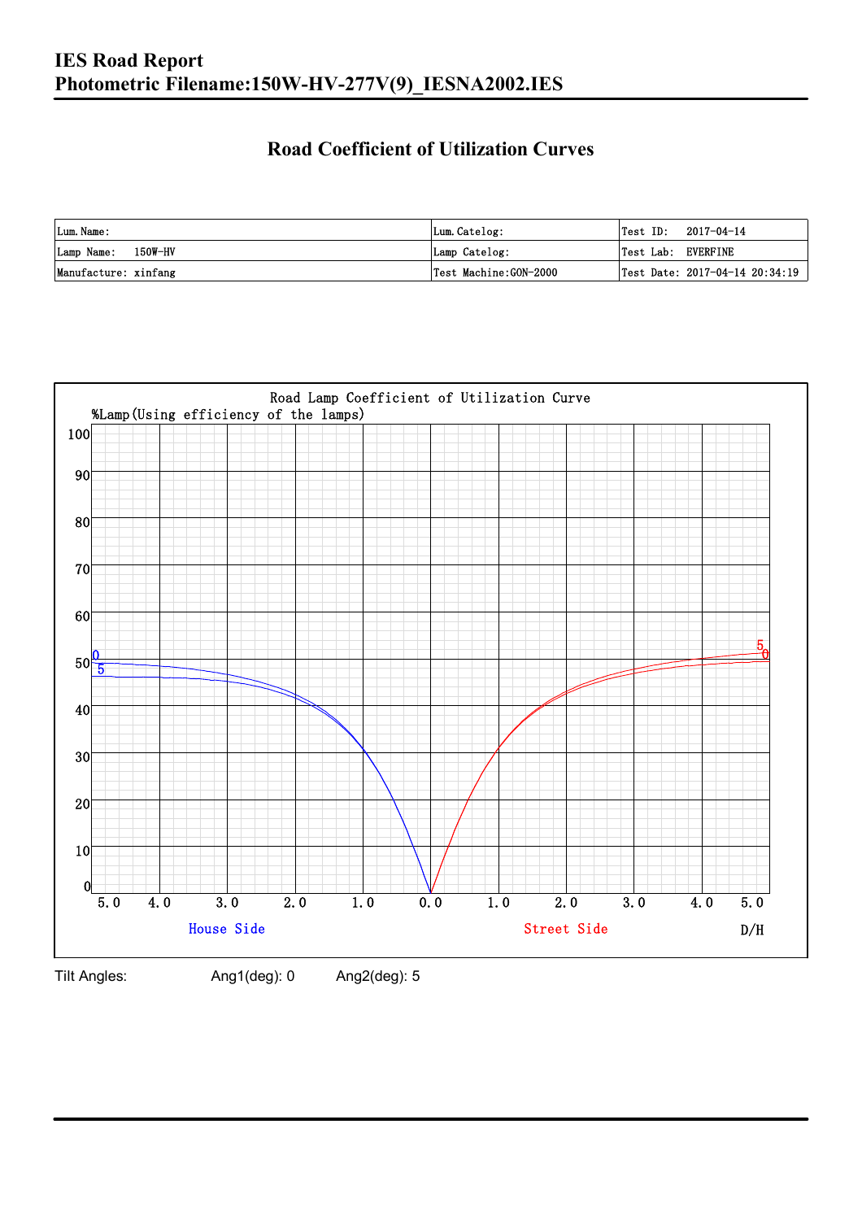### **Road Coefficient of Utilization Curves**

| Lum. Name:           | Lum.Catelog:          | Test ID:           | 2017-04-14                     |
|----------------------|-----------------------|--------------------|--------------------------------|
| Lamp Name: 150W-HV   | Lamp Catelog:         | Test Lab: EVERFINE |                                |
| Manufacture: xinfang | Test Machine:GON-2000 |                    | Test Date: 2017-04-14 20:34:19 |



Tilt Angles: Ang1(deg): 0 Ang2(deg): 5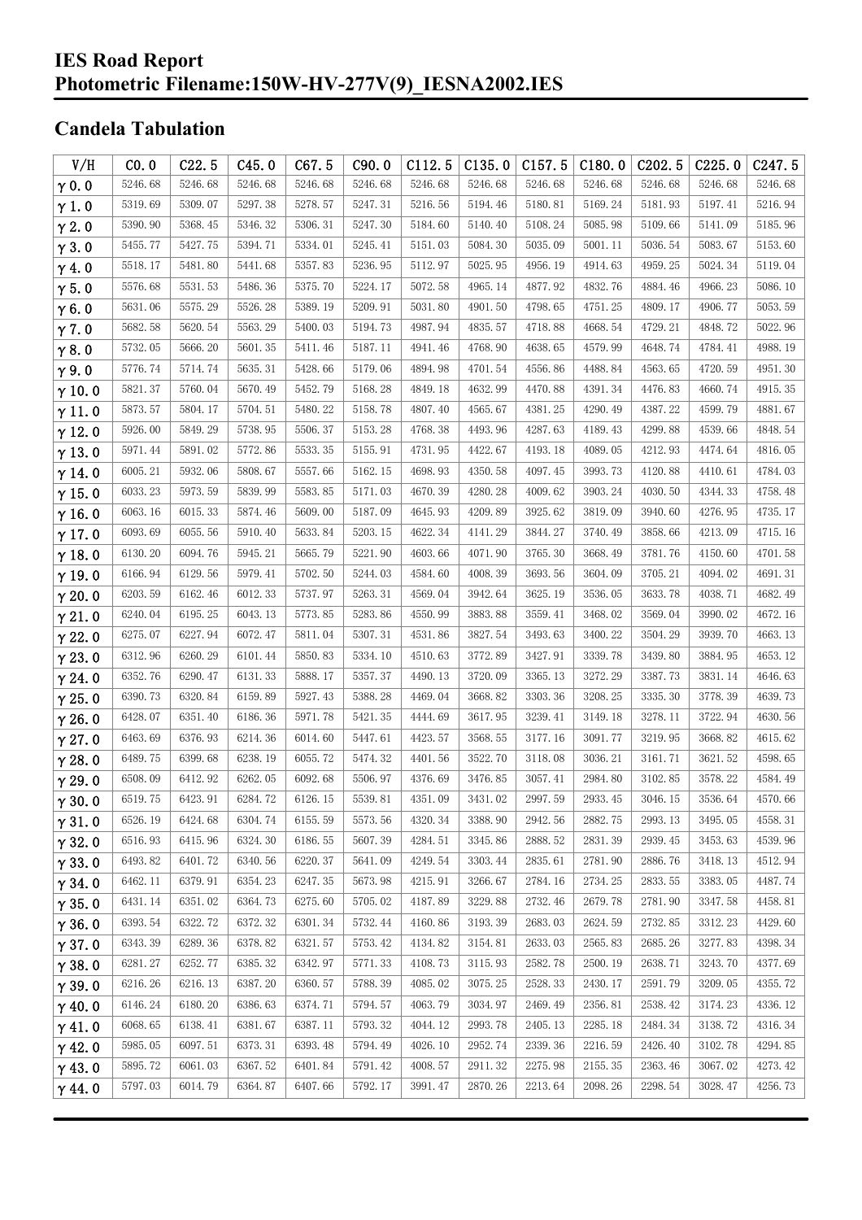#### **IES Road Report Photometric Filename:150W-HV-277V(9)\_IESNA2002.IES**

### **Candela Tabulation**

| V/H           | CO.0    | C22.5   | C45.0   | C67.5   | C90.0   | C112.5  | C135.0  | C157.5  | C180.0  | C <sub>2</sub> 02.5 | C225.0  | C <sub>247.5</sub> |
|---------------|---------|---------|---------|---------|---------|---------|---------|---------|---------|---------------------|---------|--------------------|
| $\gamma$ 0.0  | 5246.68 | 5246.68 | 5246.68 | 5246.68 | 5246.68 | 5246.68 | 5246.68 | 5246.68 | 5246.68 | 5246.68             | 5246.68 | 5246.68            |
| $\gamma$ 1.0  | 5319.69 | 5309.07 | 5297.38 | 5278.57 | 5247.31 | 5216.56 | 5194.46 | 5180.81 | 5169.24 | 5181.93             | 5197.41 | 5216.94            |
| $\gamma$ 2.0  | 5390.90 | 5368.45 | 5346.32 | 5306.31 | 5247.30 | 5184.60 | 5140.40 | 5108.24 | 5085.98 | 5109.66             | 5141.09 | 5185.96            |
| $\gamma$ 3.0  | 5455.77 | 5427.75 | 5394.71 | 5334.01 | 5245.41 | 5151.03 | 5084.30 | 5035.09 | 5001.11 | 5036.54             | 5083.67 | 5153.60            |
| $\gamma$ 4.0  | 5518.17 | 5481.80 | 5441.68 | 5357.83 | 5236.95 | 5112.97 | 5025.95 | 4956.19 | 4914.63 | 4959.25             | 5024.34 | 5119.04            |
| $\gamma$ 5.0  | 5576.68 | 5531.53 | 5486.36 | 5375.70 | 5224.17 | 5072.58 | 4965.14 | 4877.92 | 4832.76 | 4884.46             | 4966.23 | 5086.10            |
| $\gamma$ 6.0  | 5631.06 | 5575.29 | 5526.28 | 5389.19 | 5209.91 | 5031.80 | 4901.50 | 4798.65 | 4751.25 | 4809.17             | 4906.77 | 5053.59            |
| $\gamma$ 7.0  | 5682.58 | 5620.54 | 5563.29 | 5400.03 | 5194.73 | 4987.94 | 4835.57 | 4718.88 | 4668.54 | 4729.21             | 4848.72 | 5022.96            |
| $\gamma$ 8.0  | 5732.05 | 5666.20 | 5601.35 | 5411.46 | 5187.11 | 4941.46 | 4768.90 | 4638.65 | 4579.99 | 4648.74             | 4784.41 | 4988.19            |
| $\gamma$ 9.0  | 5776.74 | 5714.74 | 5635.31 | 5428.66 | 5179.06 | 4894.98 | 4701.54 | 4556.86 | 4488.84 | 4563.65             | 4720.59 | 4951.30            |
| $\gamma$ 10.0 | 5821.37 | 5760.04 | 5670.49 | 5452.79 | 5168.28 | 4849.18 | 4632.99 | 4470.88 | 4391.34 | 4476.83             | 4660.74 | 4915.35            |
| $\gamma$ 11.0 | 5873.57 | 5804.17 | 5704.51 | 5480.22 | 5158.78 | 4807.40 | 4565.67 | 4381.25 | 4290.49 | 4387.22             | 4599.79 | 4881.67            |
| $\gamma$ 12.0 | 5926.00 | 5849.29 | 5738.95 | 5506.37 | 5153.28 | 4768.38 | 4493.96 | 4287.63 | 4189.43 | 4299.88             | 4539.66 | 4848.54            |
| $\gamma$ 13.0 | 5971.44 | 5891.02 | 5772.86 | 5533.35 | 5155.91 | 4731.95 | 4422.67 | 4193.18 | 4089.05 | 4212.93             | 4474.64 | 4816.05            |
| $\gamma$ 14.0 | 6005.21 | 5932.06 | 5808.67 | 5557.66 | 5162.15 | 4698.93 | 4350.58 | 4097.45 | 3993.73 | 4120.88             | 4410.61 | 4784.03            |
| $\gamma$ 15.0 | 6033.23 | 5973.59 | 5839.99 | 5583.85 | 5171.03 | 4670.39 | 4280.28 | 4009.62 | 3903.24 | 4030.50             | 4344.33 | 4758.48            |
| $\gamma$ 16.0 | 6063.16 | 6015.33 | 5874.46 | 5609.00 | 5187.09 | 4645.93 | 4209.89 | 3925.62 | 3819.09 | 3940.60             | 4276.95 | 4735.17            |
| $\gamma$ 17.0 | 6093.69 | 6055.56 | 5910.40 | 5633.84 | 5203.15 | 4622.34 | 4141.29 | 3844.27 | 3740.49 | 3858.66             | 4213.09 | 4715.16            |
| $\gamma$ 18.0 | 6130.20 | 6094.76 | 5945.21 | 5665.79 | 5221.90 | 4603.66 | 4071.90 | 3765.30 | 3668.49 | 3781.76             | 4150.60 | 4701.58            |
| $\gamma$ 19.0 | 6166.94 | 6129.56 | 5979.41 | 5702.50 | 5244.03 | 4584.60 | 4008.39 | 3693.56 | 3604.09 | 3705.21             | 4094.02 | 4691.31            |
| $\gamma$ 20.0 | 6203.59 | 6162.46 | 6012.33 | 5737.97 | 5263.31 | 4569.04 | 3942.64 | 3625.19 | 3536.05 | 3633.78             | 4038.71 | 4682.49            |
| $\gamma$ 21.0 | 6240.04 | 6195.25 | 6043.13 | 5773.85 | 5283.86 | 4550.99 | 3883.88 | 3559.41 | 3468.02 | 3569.04             | 3990.02 | 4672.16            |
| $\gamma$ 22.0 | 6275.07 | 6227.94 | 6072.47 | 5811.04 | 5307.31 | 4531.86 | 3827.54 | 3493.63 | 3400.22 | 3504.29             | 3939.70 | 4663.13            |
| $\gamma$ 23.0 | 6312.96 | 6260.29 | 6101.44 | 5850.83 | 5334.10 | 4510.63 | 3772.89 | 3427.91 | 3339.78 | 3439.80             | 3884.95 | 4653.12            |
| $\gamma$ 24.0 | 6352.76 | 6290.47 | 6131.33 | 5888.17 | 5357.37 | 4490.13 | 3720.09 | 3365.13 | 3272.29 | 3387.73             | 3831.14 | 4646.63            |
| $\gamma$ 25.0 | 6390.73 | 6320.84 | 6159.89 | 5927.43 | 5388.28 | 4469.04 | 3668.82 | 3303.36 | 3208.25 | 3335.30             | 3778.39 | 4639.73            |
| $\gamma$ 26.0 | 6428.07 | 6351.40 | 6186.36 | 5971.78 | 5421.35 | 4444.69 | 3617.95 | 3239.41 | 3149.18 | 3278.11             | 3722.94 | 4630.56            |
| $\gamma$ 27.0 | 6463.69 | 6376.93 | 6214.36 | 6014.60 | 5447.61 | 4423.57 | 3568.55 | 3177.16 | 3091.77 | 3219.95             | 3668.82 | 4615.62            |
| $\gamma$ 28.0 | 6489.75 | 6399.68 | 6238.19 | 6055.72 | 5474.32 | 4401.56 | 3522.70 | 3118.08 | 3036.21 | 3161.71             | 3621.52 | 4598.65            |
| $\gamma$ 29.0 | 6508.09 | 6412.92 | 6262.05 | 6092.68 | 5506.97 | 4376.69 | 3476.85 | 3057.41 | 2984.80 | 3102.85             | 3578.22 | 4584.49            |
| $\gamma$ 30.0 | 6519.75 | 6423.91 | 6284.72 | 6126.15 | 5539.81 | 4351.09 | 3431.02 | 2997.59 | 2933.45 | 3046.15             | 3536.64 | 4570.66            |
| $\gamma$ 31.0 | 6526.19 | 6424.68 | 6304.74 | 6155.59 | 5573.56 | 4320.34 | 3388.90 | 2942.56 | 2882.75 | 2993.13             | 3495.05 | 4558.31            |
| $\gamma$ 32.0 | 6516.93 | 6415.96 | 6324.30 | 6186.55 | 5607.39 | 4284.51 | 3345.86 | 2888.52 | 2831.39 | 2939.45             | 3453.63 | 4539.96            |
| $\gamma$ 33.0 | 6493.82 | 6401.72 | 6340.56 | 6220.37 | 5641.09 | 4249.54 | 3303.44 | 2835.61 | 2781.90 | 2886.76             | 3418.13 | 4512.94            |
| $\gamma$ 34.0 | 6462.11 | 6379.91 | 6354.23 | 6247.35 | 5673.98 | 4215.91 | 3266.67 | 2784.16 | 2734.25 | 2833.55             | 3383.05 | 4487.74            |
| $\gamma$ 35.0 | 6431.14 | 6351.02 | 6364.73 | 6275.60 | 5705.02 | 4187.89 | 3229.88 | 2732.46 | 2679.78 | 2781.90             | 3347.58 | 4458.81            |
| $\gamma$ 36.0 | 6393.54 | 6322.72 | 6372.32 | 6301.34 | 5732.44 | 4160.86 | 3193.39 | 2683.03 | 2624.59 | 2732.85             | 3312.23 | 4429.60            |
| $\gamma$ 37.0 | 6343.39 | 6289.36 | 6378.82 | 6321.57 | 5753.42 | 4134.82 | 3154.81 | 2633.03 | 2565.83 | 2685.26             | 3277.83 | 4398.34            |
| $\gamma$ 38.0 | 6281.27 | 6252.77 | 6385.32 | 6342.97 | 5771.33 | 4108.73 | 3115.93 | 2582.78 | 2500.19 | 2638.71             | 3243.70 | 4377.69            |
| $\gamma$ 39.0 | 6216.26 | 6216.13 | 6387.20 | 6360.57 | 5788.39 | 4085.02 | 3075.25 | 2528.33 | 2430.17 | 2591.79             | 3209.05 | 4355.72            |
| $\gamma$ 40.0 | 6146.24 | 6180.20 | 6386.63 | 6374.71 | 5794.57 | 4063.79 | 3034.97 | 2469.49 | 2356.81 | 2538.42             | 3174.23 | 4336.12            |
| $\gamma$ 41.0 | 6068.65 | 6138.41 | 6381.67 | 6387.11 | 5793.32 | 4044.12 | 2993.78 | 2405.13 | 2285.18 | 2484.34             | 3138.72 | 4316.34            |
| $\gamma$ 42.0 | 5985.05 | 6097.51 | 6373.31 | 6393.48 | 5794.49 | 4026.10 | 2952.74 | 2339.36 | 2216.59 | 2426.40             | 3102.78 | 4294.85            |
| $\gamma$ 43.0 | 5895.72 | 6061.03 | 6367.52 | 6401.84 | 5791.42 | 4008.57 | 2911.32 | 2275.98 | 2155.35 | 2363.46             | 3067.02 | 4273.42            |
| $\gamma$ 44.0 | 5797.03 | 6014.79 | 6364.87 | 6407.66 | 5792.17 | 3991.47 | 2870.26 | 2213.64 | 2098.26 | 2298.54             | 3028.47 | 4256.73            |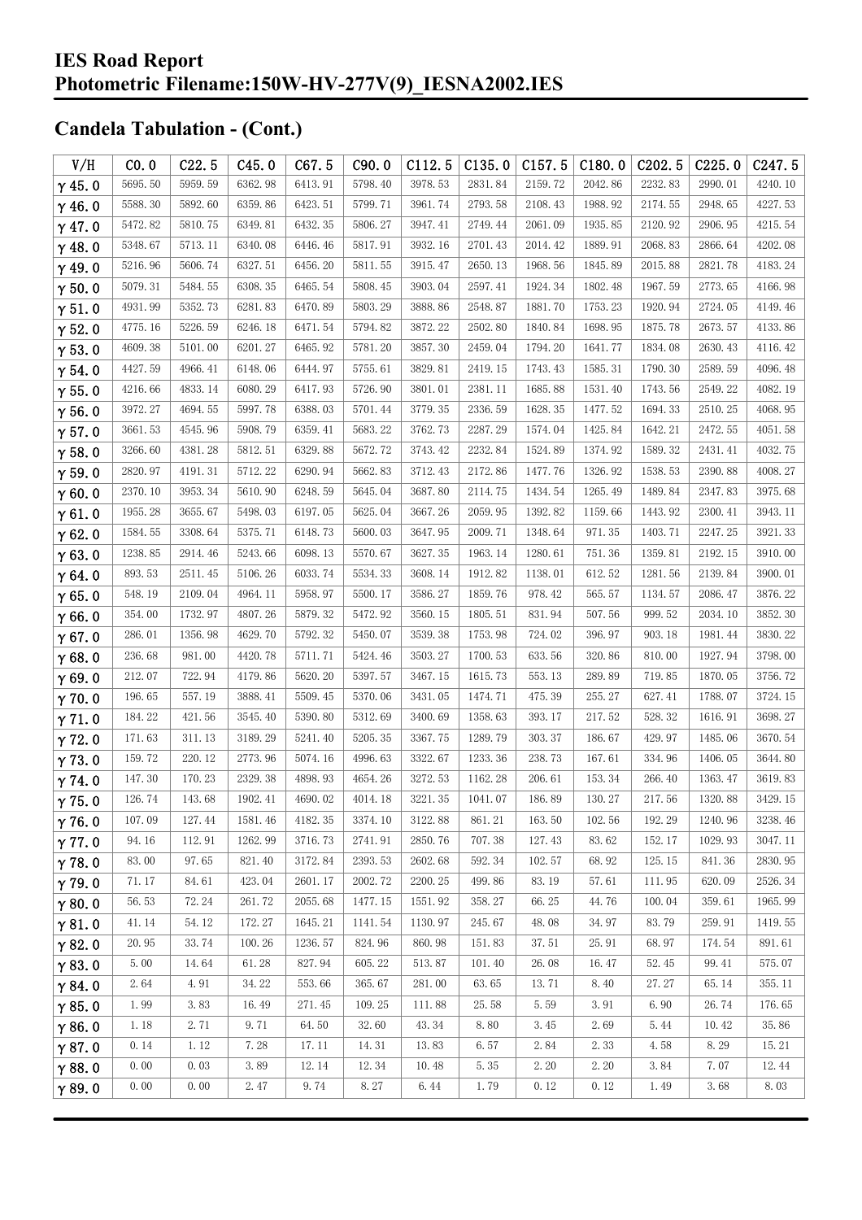| V/H           | CO.0    | C22.5   | C45.0   | C67.5   | C90.0   | C112.5  | C135.0  | C157.5  | C180.0  | C <sub>2</sub> 02.5 | C225.0  | C <sub>247.5</sub> |
|---------------|---------|---------|---------|---------|---------|---------|---------|---------|---------|---------------------|---------|--------------------|
| $\gamma$ 45.0 | 5695.50 | 5959.59 | 6362.98 | 6413.91 | 5798.40 | 3978.53 | 2831.84 | 2159.72 | 2042.86 | 2232.83             | 2990.01 | 4240.10            |
| $\gamma$ 46.0 | 5588.30 | 5892.60 | 6359.86 | 6423.51 | 5799.71 | 3961.74 | 2793.58 | 2108.43 | 1988.92 | 2174.55             | 2948.65 | 4227.53            |
| $\gamma$ 47.0 | 5472.82 | 5810.75 | 6349.81 | 6432.35 | 5806.27 | 3947.41 | 2749.44 | 2061.09 | 1935.85 | 2120.92             | 2906.95 | 4215.54            |
| $\gamma$ 48.0 | 5348.67 | 5713.11 | 6340.08 | 6446.46 | 5817.91 | 3932.16 | 2701.43 | 2014.42 | 1889.91 | 2068.83             | 2866.64 | 4202.08            |
| $\gamma$ 49.0 | 5216.96 | 5606.74 | 6327.51 | 6456.20 | 5811.55 | 3915.47 | 2650.13 | 1968.56 | 1845.89 | 2015.88             | 2821.78 | 4183.24            |
| $\gamma$ 50.0 | 5079.31 | 5484.55 | 6308.35 | 6465.54 | 5808.45 | 3903.04 | 2597.41 | 1924.34 | 1802.48 | 1967.59             | 2773.65 | 4166.98            |
| $\gamma$ 51.0 | 4931.99 | 5352.73 | 6281.83 | 6470.89 | 5803.29 | 3888.86 | 2548.87 | 1881.70 | 1753.23 | 1920.94             | 2724.05 | 4149.46            |
| $\gamma$ 52.0 | 4775.16 | 5226.59 | 6246.18 | 6471.54 | 5794.82 | 3872.22 | 2502.80 | 1840.84 | 1698.95 | 1875.78             | 2673.57 | 4133.86            |
| $\gamma$ 53.0 | 4609.38 | 5101.00 | 6201.27 | 6465.92 | 5781.20 | 3857.30 | 2459.04 | 1794.20 | 1641.77 | 1834.08             | 2630.43 | 4116.42            |
| $\gamma$ 54.0 | 4427.59 | 4966.41 | 6148.06 | 6444.97 | 5755.61 | 3829.81 | 2419.15 | 1743.43 | 1585.31 | 1790.30             | 2589.59 | 4096.48            |
| $\gamma$ 55.0 | 4216.66 | 4833.14 | 6080.29 | 6417.93 | 5726.90 | 3801.01 | 2381.11 | 1685.88 | 1531.40 | 1743.56             | 2549.22 | 4082.19            |
| $\gamma$ 56.0 | 3972.27 | 4694.55 | 5997.78 | 6388.03 | 5701.44 | 3779.35 | 2336.59 | 1628.35 | 1477.52 | 1694.33             | 2510.25 | 4068.95            |
| $\gamma$ 57.0 | 3661.53 | 4545.96 | 5908.79 | 6359.41 | 5683.22 | 3762.73 | 2287.29 | 1574.04 | 1425.84 | 1642.21             | 2472.55 | 4051.58            |
| $\gamma$ 58.0 | 3266.60 | 4381.28 | 5812.51 | 6329.88 | 5672.72 | 3743.42 | 2232.84 | 1524.89 | 1374.92 | 1589.32             | 2431.41 | 4032.75            |
| $\gamma$ 59.0 | 2820.97 | 4191.31 | 5712.22 | 6290.94 | 5662.83 | 3712.43 | 2172.86 | 1477.76 | 1326.92 | 1538.53             | 2390.88 | 4008.27            |
| $\gamma$ 60.0 | 2370.10 | 3953.34 | 5610.90 | 6248.59 | 5645.04 | 3687.80 | 2114.75 | 1434.54 | 1265.49 | 1489.84             | 2347.83 | 3975.68            |
| $\gamma$ 61.0 | 1955.28 | 3655.67 | 5498.03 | 6197.05 | 5625.04 | 3667.26 | 2059.95 | 1392.82 | 1159.66 | 1443.92             | 2300.41 | 3943.11            |
| $\gamma$ 62.0 | 1584.55 | 3308.64 | 5375.71 | 6148.73 | 5600.03 | 3647.95 | 2009.71 | 1348.64 | 971.35  | 1403.71             | 2247.25 | 3921.33            |
| $\gamma$ 63.0 | 1238.85 | 2914.46 | 5243.66 | 6098.13 | 5570.67 | 3627.35 | 1963.14 | 1280.61 | 751.36  | 1359.81             | 2192.15 | 3910.00            |
| $\gamma$ 64.0 | 893.53  | 2511.45 | 5106.26 | 6033.74 | 5534.33 | 3608.14 | 1912.82 | 1138.01 | 612.52  | 1281.56             | 2139.84 | 3900.01            |
| $\gamma$ 65.0 | 548.19  | 2109.04 | 4964.11 | 5958.97 | 5500.17 | 3586.27 | 1859.76 | 978.42  | 565.57  | 1134.57             | 2086.47 | 3876.22            |
| $\gamma$ 66.0 | 354.00  | 1732.97 | 4807.26 | 5879.32 | 5472.92 | 3560.15 | 1805.51 | 831.94  | 507.56  | 999.52              | 2034.10 | 3852.30            |
| $\gamma$ 67.0 | 286.01  | 1356.98 | 4629.70 | 5792.32 | 5450.07 | 3539.38 | 1753.98 | 724.02  | 396.97  | 903.18              | 1981.44 | 3830.22            |
| $\gamma$ 68.0 | 236.68  | 981.00  | 4420.78 | 5711.71 | 5424.46 | 3503.27 | 1700.53 | 633.56  | 320.86  | 810.00              | 1927.94 | 3798.00            |
| $\gamma$ 69.0 | 212.07  | 722.94  | 4179.86 | 5620.20 | 5397.57 | 3467.15 | 1615.73 | 553.13  | 289.89  | 719.85              | 1870.05 | 3756.72            |
| $\gamma$ 70.0 | 196.65  | 557.19  | 3888.41 | 5509.45 | 5370.06 | 3431.05 | 1474.71 | 475.39  | 255.27  | 627.41              | 1788.07 | 3724.15            |
| $\gamma$ 71.0 | 184.22  | 421.56  | 3545.40 | 5390.80 | 5312.69 | 3400.69 | 1358.63 | 393.17  | 217.52  | 528.32              | 1616.91 | 3698.27            |
| $\gamma$ 72.0 | 171.63  | 311.13  | 3189.29 | 5241.40 | 5205.35 | 3367.75 | 1289.79 | 303.37  | 186.67  | 429.97              | 1485.06 | 3670.54            |
| $\gamma$ 73.0 | 159.72  | 220.12  | 2773.96 | 5074.16 | 4996.63 | 3322.67 | 1233.36 | 238.73  | 167.61  | 334.96              | 1406.05 | 3644.80            |
| $\gamma$ 74.0 | 147.30  | 170.23  | 2329.38 | 4898.93 | 4654.26 | 3272.53 | 1162.28 | 206.61  | 153.34  | 266.40              | 1363.47 | 3619.83            |
| $\gamma$ 75.0 | 126.74  | 143.68  | 1902.41 | 4690.02 | 4014.18 | 3221.35 | 1041.07 | 186.89  | 130.27  | 217.56              | 1320.88 | 3429.15            |
| $\gamma$ 76.0 | 107.09  | 127.44  | 1581.46 | 4182.35 | 3374.10 | 3122.88 | 861.21  | 163.50  | 102.56  | 192.29              | 1240.96 | 3238.46            |
| $\gamma$ 77.0 | 94.16   | 112.91  | 1262.99 | 3716.73 | 2741.91 | 2850.76 | 707.38  | 127.43  | 83.62   | 152.17              | 1029.93 | 3047.11            |
| $\gamma$ 78.0 | 83.00   | 97.65   | 821.40  | 3172.84 | 2393.53 | 2602.68 | 592.34  | 102.57  | 68.92   | 125.15              | 841.36  | 2830.95            |
| $\gamma$ 79.0 | 71.17   | 84.61   | 423.04  | 2601.17 | 2002.72 | 2200.25 | 499.86  | 83.19   | 57.61   | 111.95              | 620.09  | 2526.34            |
| $\gamma$ 80.0 | 56.53   | 72.24   | 261.72  | 2055.68 | 1477.15 | 1551.92 | 358.27  | 66.25   | 44.76   | 100.04              | 359.61  | 1965.99            |
| $\gamma$ 81.0 | 41.14   | 54.12   | 172.27  | 1645.21 | 1141.54 | 1130.97 | 245.67  | 48.08   | 34.97   | 83.79               | 259.91  | 1419.55            |
| $\gamma$ 82.0 | 20.95   | 33.74   | 100.26  | 1236.57 | 824.96  | 860.98  | 151.83  | 37.51   | 25.91   | 68.97               | 174.54  | 891.61             |
| $\gamma$ 83.0 | 5.00    | 14.64   | 61.28   | 827.94  | 605.22  | 513.87  | 101.40  | 26.08   | 16.47   | 52.45               | 99.41   | 575.07             |
| $\gamma$ 84.0 | 2.64    | 4.91    | 34.22   | 553.66  | 365.67  | 281.00  | 63.65   | 13.71   | 8.40    | 27.27               | 65.14   | 355.11             |
| $\gamma$ 85.0 | 1.99    | 3.83    | 16.49   | 271.45  | 109.25  | 111.88  | 25.58   | 5.59    | 3.91    | 6.90                | 26.74   | 176.65             |
| $\gamma$ 86.0 | 1.18    | 2.71    | 9.71    | 64.50   | 32.60   | 43.34   | 8.80    | 3.45    | 2.69    | 5.44                | 10.42   | 35.86              |
| $\gamma$ 87.0 | 0.14    | 1.12    | 7.28    | 17.11   | 14.31   | 13.83   | 6.57    | 2.84    | 2.33    | 4.58                | 8.29    | 15.21              |
| $\gamma$ 88.0 | 0.00    | 0.03    | 3.89    | 12.14   | 12.34   | 10.48   | 5.35    | 2.20    | 2.20    | 3.84                | 7.07    | 12.44              |
| $\gamma$ 89.0 | 0.00    | 0.00    | 2.47    | 9.74    | 8.27    | 6.44    | 1.79    | 0.12    | 0.12    | 1.49                | 3.68    | 8.03               |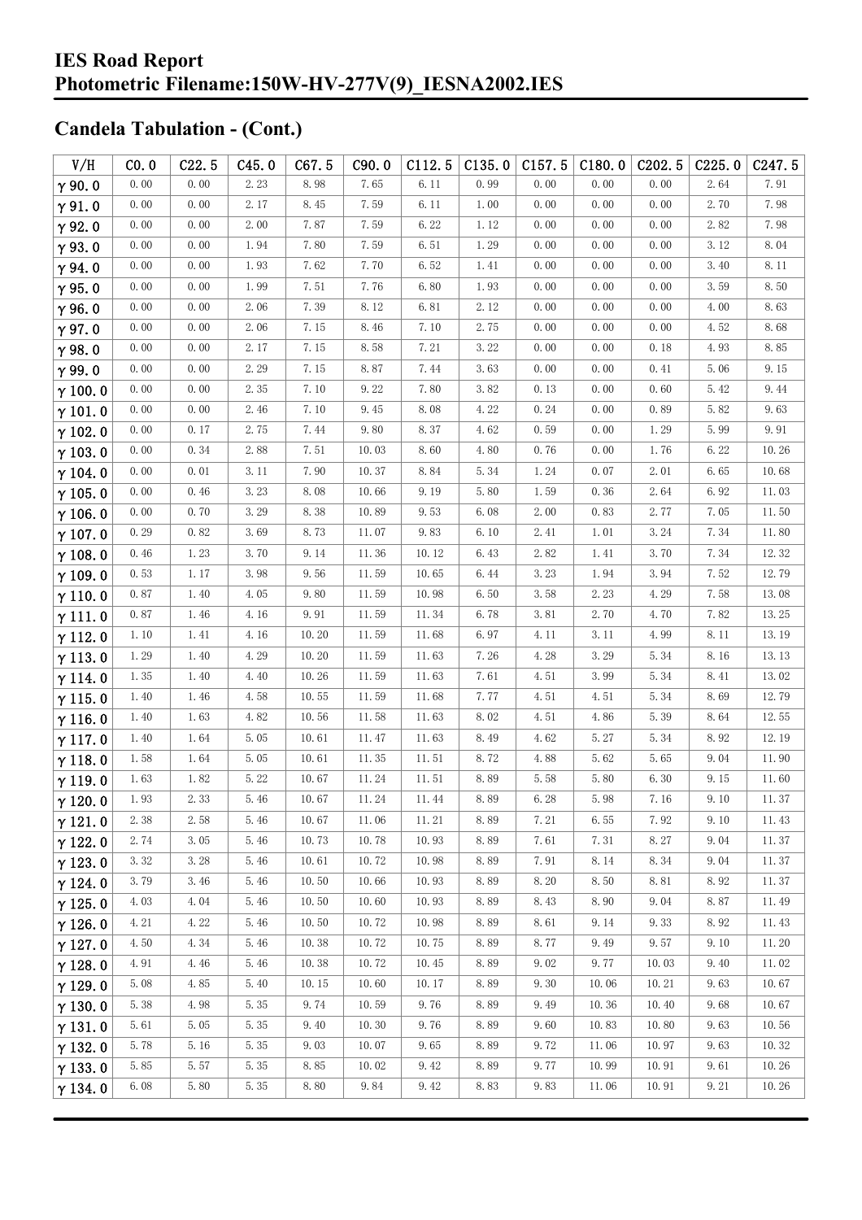| V/H            | CO.0   | C22.5 | C45.0 | C67.5 | C90.0 | C112.5 | C135.0   | C157.5 | C180.0               | C <sub>2</sub> 02.5 | C225.0 | C <sub>247.5</sub> |
|----------------|--------|-------|-------|-------|-------|--------|----------|--------|----------------------|---------------------|--------|--------------------|
| $\gamma$ 90.0  | 0.00   | 0.00  | 2.23  | 8.98  | 7.65  | 6.11   | 0.99     | 0.00   | 0.00                 | 0.00                | 2.64   | 7.91               |
| $\gamma$ 91.0  | 0.00   | 0.00  | 2.17  | 8.45  | 7.59  | 6.11   | 1.00     | 0.00   | 0.00                 | 0.00                | 2.70   | 7.98               |
| $\gamma$ 92.0  | 0.00   | 0.00  | 2.00  | 7.87  | 7.59  | 6.22   | 1.12     | 0.00   | 0.00                 | 0.00                | 2.82   | 7.98               |
| $\gamma$ 93.0  | 0.00   | 0.00  | 1.94  | 7.80  | 7.59  | 6.51   | 1.29     | 0.00   | 0.00                 | 0.00                | 3.12   | 8.04               |
| $\gamma$ 94.0  | 0.00   | 0.00  | 1.93  | 7.62  | 7.70  | 6.52   | 1.41     | 0.00   | 0.00                 | 0.00                | 3.40   | 8.11               |
| $\gamma$ 95.0  | $0.00$ | 0.00  | 1.99  | 7.51  | 7.76  | 6.80   | 1.93     | 0.00   | 0.00                 | 0.00                | 3.59   | 8.50               |
| $\gamma$ 96.0  | 0.00   | 0.00  | 2.06  | 7.39  | 8.12  | 6.81   | 2.12     | 0.00   | 0.00                 | 0.00                | 4.00   | 8.63               |
| $\gamma$ 97.0  | 0.00   | 0.00  | 2.06  | 7.15  | 8.46  | 7.10   | 2.75     | 0.00   | 0.00                 | 0.00                | 4.52   | 8.68               |
| $\gamma$ 98.0  | 0.00   | 0.00  | 2.17  | 7.15  | 8.58  | 7.21   | 3.22     | 0.00   | 0.00                 | 0.18                | 4.93   | 8.85               |
| $\gamma$ 99.0  | 0.00   | 0.00  | 2.29  | 7.15  | 8.87  | 7.44   | 3.63     | 0.00   | 0.00                 | 0.41                | 5.06   | 9.15               |
| $\gamma$ 100.0 | 0.00   | 0.00  | 2.35  | 7.10  | 9.22  | 7.80   | 3.82     | 0.13   | 0.00                 | 0.60                | 5.42   | 9.44               |
| $\gamma$ 101.0 | 0.00   | 0.00  | 2.46  | 7.10  | 9.45  | 8.08   | 4.22     | 0.24   | 0.00                 | 0.89                | 5.82   | 9.63               |
| $\gamma$ 102.0 | 0.00   | 0.17  | 2.75  | 7.44  | 9.80  | 8.37   | 4.62     | 0.59   | 0.00                 | 1.29                | 5.99   | 9.91               |
| $\gamma$ 103.0 | 0.00   | 0.34  | 2.88  | 7.51  | 10.03 | 8.60   | $4.80\,$ | 0.76   | 0.00                 | 1.76                | 6.22   | 10.26              |
| $\gamma$ 104.0 | 0.00   | 0.01  | 3.11  | 7.90  | 10.37 | 8.84   | 5.34     | 1.24   | 0.07                 | 2.01                | 6.65   | 10.68              |
| $\gamma$ 105.0 | 0.00   | 0.46  | 3.23  | 8.08  | 10.66 | 9.19   | 5.80     | 1.59   | 0.36                 | 2.64                | 6.92   | 11.03              |
| $\gamma$ 106.0 | 0.00   | 0.70  | 3.29  | 8.38  | 10.89 | 9.53   | 6.08     | 2.00   | 0.83                 | 2.77                | 7.05   | 11.50              |
| $\gamma$ 107.0 | 0.29   | 0.82  | 3.69  | 8.73  | 11.07 | 9.83   | 6.10     | 2.41   | $1.\,\allowbreak 01$ | 3.24                | 7.34   | 11.80              |
| $\gamma$ 108.0 | 0.46   | 1.23  | 3.70  | 9.14  | 11.36 | 10.12  | 6.43     | 2.82   | 1.41                 | 3.70                | 7.34   | 12.32              |
| $\gamma$ 109.0 | 0.53   | 1.17  | 3.98  | 9.56  | 11.59 | 10.65  | 6.44     | 3.23   | 1.94                 | 3.94                | 7.52   | 12.79              |
| $\gamma$ 110.0 | 0.87   | 1.40  | 4.05  | 9.80  | 11.59 | 10.98  | 6.50     | 3.58   | 2.23                 | 4.29                | 7.58   | 13.08              |
| $\gamma$ 111.0 | 0.87   | 1.46  | 4.16  | 9.91  | 11.59 | 11.34  | 6.78     | 3.81   | 2.70                 | 4.70                | 7.82   | 13.25              |
| $\gamma$ 112.0 | 1.10   | 1.41  | 4.16  | 10.20 | 11.59 | 11.68  | 6.97     | 4.11   | 3.11                 | 4.99                | 8.11   | 13.19              |
| $\gamma$ 113.0 | 1.29   | 1.40  | 4.29  | 10.20 | 11.59 | 11.63  | 7.26     | 4.28   | 3.29                 | 5.34                | 8.16   | 13.13              |
| $\gamma$ 114.0 | 1.35   | 1.40  | 4.40  | 10.26 | 11.59 | 11.63  | 7.61     | 4.51   | 3.99                 | 5.34                | 8.41   | 13.02              |
| $\gamma$ 115.0 | 1.40   | 1.46  | 4.58  | 10.55 | 11.59 | 11.68  | 7.77     | 4.51   | 4.51                 | 5.34                | 8.69   | 12.79              |
| $\gamma$ 116.0 | 1.40   | 1.63  | 4.82  | 10.56 | 11.58 | 11.63  | 8.02     | 4.51   | 4.86                 | 5.39                | 8.64   | 12.55              |
| $\gamma$ 117.0 | 1.40   | 1.64  | 5.05  | 10.61 | 11.47 | 11.63  | 8.49     | 4.62   | 5.27                 | 5.34                | 8.92   | 12.19              |
| $\gamma$ 118.0 | 1.58   | 1.64  | 5.05  | 10.61 | 11.35 | 11.51  | 8.72     | 4.88   | 5.62                 | 5.65                | 9.04   | 11.90              |
| $\gamma$ 119.0 | 1.63   | 1.82  | 5.22  | 10.67 | 11.24 | 11.51  | 8.89     | 5.58   | 5.80                 | 6.30                | 9.15   | 11.60              |
| $\gamma$ 120.0 | 1.93   | 2.33  | 5.46  | 10.67 | 11.24 | 11.44  | 8.89     | 6.28   | 5.98                 | 7.16                | 9.10   | $11.\,37$          |
| $\gamma$ 121.0 | 2.38   | 2.58  | 5.46  | 10.67 | 11.06 | 11.21  | 8.89     | 7.21   | 6.55                 | 7.92                | 9.10   | 11.43              |
| $\gamma$ 122.0 | 2.74   | 3.05  | 5.46  | 10.73 | 10.78 | 10.93  | 8.89     | 7.61   | 7.31                 | 8.27                | 9.04   | 11.37              |
| $\gamma$ 123.0 | 3.32   | 3.28  | 5.46  | 10.61 | 10.72 | 10.98  | 8.89     | 7.91   | 8.14                 | 8.34                | 9.04   | 11.37              |
| $\gamma$ 124.0 | 3.79   | 3.46  | 5.46  | 10.50 | 10.66 | 10.93  | 8.89     | 8.20   | 8.50                 | 8.81                | 8.92   | 11.37              |
| $\gamma$ 125.0 | 4.03   | 4.04  | 5.46  | 10.50 | 10.60 | 10.93  | 8.89     | 8.43   | 8.90                 | 9.04                | 8.87   | 11.49              |
| $\gamma$ 126.0 | 4.21   | 4.22  | 5.46  | 10.50 | 10.72 | 10.98  | 8.89     | 8.61   | 9.14                 | 9.33                | 8.92   | 11.43              |
| $\gamma$ 127.0 | 4.50   | 4.34  | 5.46  | 10.38 | 10.72 | 10.75  | 8.89     | 8.77   | 9.49                 | 9.57                | 9.10   | 11.20              |
| $\gamma$ 128.0 | 4.91   | 4.46  | 5.46  | 10.38 | 10.72 | 10.45  | 8.89     | 9.02   | 9.77                 | 10.03               | 9.40   | 11.02              |
| $\gamma$ 129.0 | 5.08   | 4.85  | 5.40  | 10.15 | 10.60 | 10.17  | 8.89     | 9.30   | 10.06                | 10.21               | 9.63   | 10.67              |
| $\gamma$ 130.0 | 5.38   | 4.98  | 5.35  | 9.74  | 10.59 | 9.76   | 8.89     | 9.49   | 10.36                | 10.40               | 9.68   | 10.67              |
| $\gamma$ 131.0 | 5.61   | 5.05  | 5.35  | 9.40  | 10.30 | 9.76   | 8.89     | 9.60   | 10.83                | 10.80               | 9.63   | 10.56              |
| $\gamma$ 132.0 | 5.78   | 5.16  | 5.35  | 9.03  | 10.07 | 9.65   | 8.89     | 9.72   | 11.06                | 10.97               | 9.63   | 10.32              |
| $\gamma$ 133.0 | 5.85   | 5.57  | 5.35  | 8.85  | 10.02 | 9.42   | 8.89     | 9.77   | 10.99                | 10.91               | 9.61   | 10.26              |
| $\gamma$ 134.0 | 6.08   | 5.80  | 5.35  | 8.80  | 9.84  | 9.42   | 8.83     | 9.83   | 11.06                | 10.91               | 9.21   | 10.26              |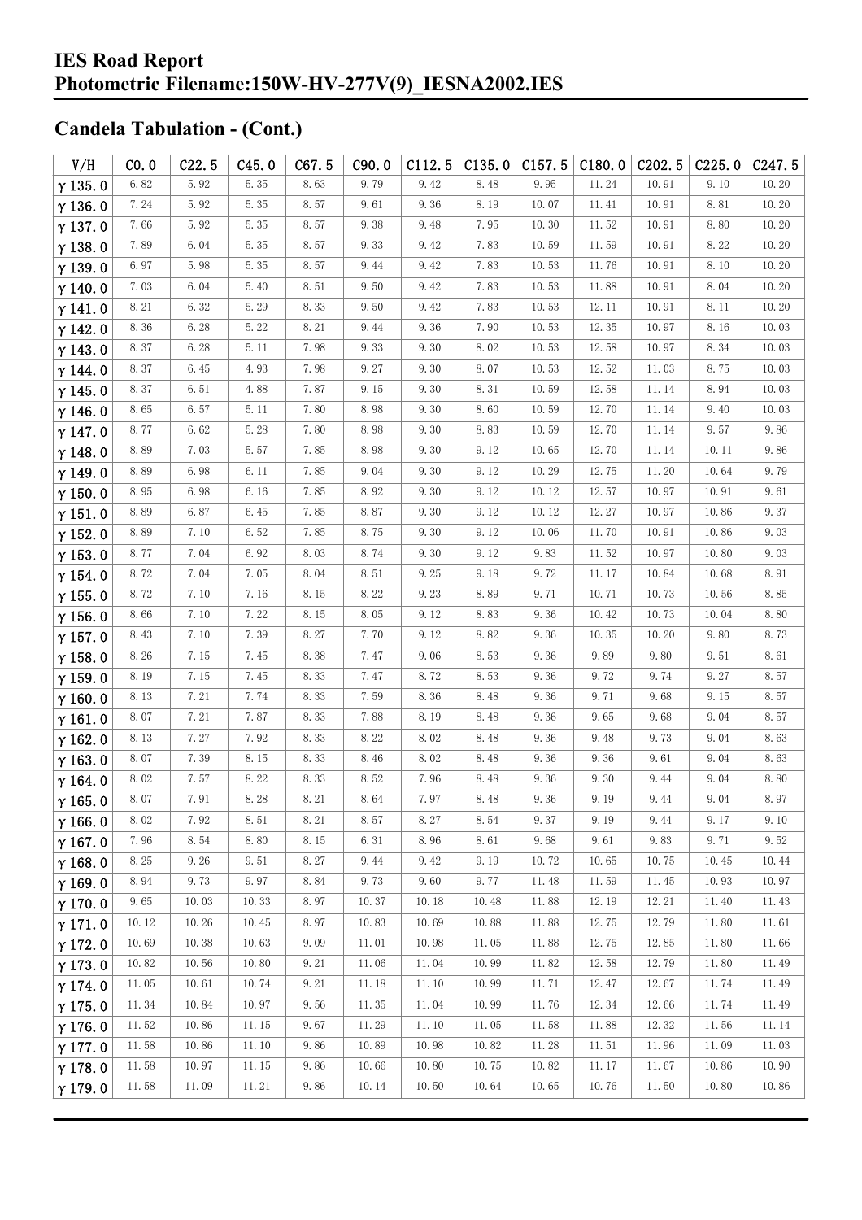| V/H            | CO.0  | C22.5 | C45.0 | C67.5    | C90.0 | C112.5 | C135.0   | C157.5 | C180.0 | C <sub>2</sub> 02.5 | C225.0 | C247.5               |
|----------------|-------|-------|-------|----------|-------|--------|----------|--------|--------|---------------------|--------|----------------------|
| $\gamma$ 135.0 | 6.82  | 5.92  | 5.35  | 8.63     | 9.79  | 9.42   | 8.48     | 9.95   | 11.24  | 10.91               | 9.10   | 10.20                |
| $\gamma$ 136.0 | 7.24  | 5.92  | 5.35  | 8.57     | 9.61  | 9.36   | 8.19     | 10.07  | 11.41  | 10.91               | 8.81   | 10.20                |
| $\gamma$ 137.0 | 7.66  | 5.92  | 5.35  | 8.57     | 9.38  | 9.48   | 7.95     | 10.30  | 11.52  | 10.91               | 8.80   | 10.20                |
| $\gamma$ 138.0 | 7.89  | 6.04  | 5.35  | 8.57     | 9.33  | 9.42   | 7.83     | 10.59  | 11.59  | 10.91               | 8.22   | 10.20                |
| $\gamma$ 139.0 | 6.97  | 5.98  | 5.35  | 8.57     | 9.44  | 9.42   | 7.83     | 10.53  | 11.76  | 10.91               | 8.10   | 10.20                |
| $\gamma$ 140.0 | 7.03  | 6.04  | 5.40  | 8.51     | 9.50  | 9.42   | 7.83     | 10.53  | 11.88  | 10.91               | 8.04   | 10.20                |
| $\gamma$ 141.0 | 8.21  | 6.32  | 5.29  | 8.33     | 9.50  | 9.42   | 7.83     | 10.53  | 12.11  | 10.91               | 8.11   | 10.20                |
| $\gamma$ 142.0 | 8.36  | 6.28  | 5.22  | 8.21     | 9.44  | 9.36   | 7.90     | 10.53  | 12.35  | 10.97               | 8.16   | 10.03                |
| $\gamma$ 143.0 | 8.37  | 6.28  | 5.11  | 7.98     | 9.33  | 9.30   | 8.02     | 10.53  | 12.58  | 10.97               | 8.34   | 10.03                |
| $\gamma$ 144.0 | 8.37  | 6.45  | 4.93  | 7.98     | 9.27  | 9.30   | 8.07     | 10.53  | 12.52  | 11.03               | 8.75   | 10.03                |
| $\gamma$ 145.0 | 8.37  | 6.51  | 4.88  | 7.87     | 9.15  | 9.30   | 8.31     | 10.59  | 12.58  | 11.14               | 8.94   | 10.03                |
| $\gamma$ 146.0 | 8.65  | 6.57  | 5.11  | 7.80     | 8.98  | 9.30   | 8.60     | 10.59  | 12.70  | 11.14               | 9.40   | 10.03                |
| $\gamma$ 147.0 | 8.77  | 6.62  | 5.28  | 7.80     | 8.98  | 9.30   | 8.83     | 10.59  | 12.70  | 11.14               | 9.57   | 9.86                 |
| $\gamma$ 148.0 | 8.89  | 7.03  | 5.57  | 7.85     | 8.98  | 9.30   | 9.12     | 10.65  | 12.70  | 11.14               | 10.11  | 9.86                 |
| $\gamma$ 149.0 | 8.89  | 6.98  | 6.11  | 7.85     | 9.04  | 9.30   | 9.12     | 10.29  | 12.75  | 11.20               | 10.64  | 9.79                 |
| $\gamma$ 150.0 | 8.95  | 6.98  | 6.16  | 7.85     | 8.92  | 9.30   | 9.12     | 10.12  | 12.57  | 10.97               | 10.91  | 9.61                 |
| $\gamma$ 151.0 | 8.89  | 6.87  | 6.45  | 7.85     | 8.87  | 9.30   | 9.12     | 10.12  | 12.27  | 10.97               | 10.86  | 9.37                 |
| $\gamma$ 152.0 | 8.89  | 7.10  | 6.52  | 7.85     | 8.75  | 9.30   | 9.12     | 10.06  | 11.70  | 10.91               | 10.86  | 9.03                 |
| $\gamma$ 153.0 | 8.77  | 7.04  | 6.92  | 8.03     | 8.74  | 9.30   | 9.12     | 9.83   | 11.52  | 10.97               | 10.80  | 9.03                 |
| $\gamma$ 154.0 | 8.72  | 7.04  | 7.05  | 8.04     | 8.51  | 9.25   | 9.18     | 9.72   | 11.17  | 10.84               | 10.68  | 8.91                 |
| $\gamma$ 155.0 | 8.72  | 7.10  | 7.16  | 8.15     | 8.22  | 9.23   | 8.89     | 9.71   | 10.71  | 10.73               | 10.56  | 8.85                 |
| $\gamma$ 156.0 | 8.66  | 7.10  | 7.22  | 8.15     | 8.05  | 9.12   | 8.83     | 9.36   | 10.42  | 10.73               | 10.04  | 8.80                 |
| $\gamma$ 157.0 | 8.43  | 7.10  | 7.39  | 8.27     | 7.70  | 9.12   | 8.82     | 9.36   | 10.35  | 10.20               | 9.80   | 8.73                 |
| $\gamma$ 158.0 | 8.26  | 7.15  | 7.45  | 8.38     | 7.47  | 9.06   | 8.53     | 9.36   | 9.89   | 9.80                | 9.51   | 8.61                 |
| $\gamma$ 159.0 | 8.19  | 7.15  | 7.45  | 8.33     | 7.47  | 8.72   | 8.53     | 9.36   | 9.72   | 9.74                | 9.27   | 8.57                 |
| $\gamma$ 160.0 | 8.13  | 7.21  | 7.74  | 8.33     | 7.59  | 8.36   | 8.48     | 9.36   | 9.71   | 9.68                | 9.15   | 8.57                 |
| $\gamma$ 161.0 | 8.07  | 7.21  | 7.87  | 8.33     | 7.88  | 8.19   | 8.48     | 9.36   | 9.65   | 9.68                | 9.04   | 8.57                 |
| $\gamma$ 162.0 | 8.13  | 7.27  | 7.92  | 8.33     | 8.22  | 8.02   | 8.48     | 9.36   | 9.48   | 9.73                | 9.04   | 8.63                 |
| $\gamma$ 163.0 | 8.07  | 7.39  | 8.15  | 8.33     | 8.46  | 8.02   | 8.48     | 9.36   | 9.36   | 9.61                | 9.04   | 8.63                 |
| $\gamma$ 164.0 | 8.02  | 7.57  | 8.22  | 8.33     | 8.52  | 7.96   | 8.48     | 9.36   | 9.30   | 9.44                | 9.04   | 8.80                 |
| $\gamma$ 165.0 | 8.07  | 7.91  | 8.28  | $8.\,21$ | 8.64  | 7.97   | $8.\,48$ | 9.36   | 9.19   | 9.44                | 9.04   | $8.\,\allowbreak 97$ |
| $\gamma$ 166.0 | 8.02  | 7.92  | 8.51  | 8.21     | 8.57  | 8.27   | 8.54     | 9.37   | 9.19   | 9.44                | 9.17   | 9.10                 |
| $\gamma$ 167.0 | 7.96  | 8.54  | 8.80  | 8.15     | 6.31  | 8.96   | 8.61     | 9.68   | 9.61   | 9.83                | 9.71   | 9.52                 |
| $\gamma$ 168.0 | 8.25  | 9.26  | 9.51  | 8.27     | 9.44  | 9.42   | 9.19     | 10.72  | 10.65  | 10.75               | 10.45  | 10.44                |
| $\gamma$ 169.0 | 8.94  | 9.73  | 9.97  | 8.84     | 9.73  | 9.60   | 9.77     | 11.48  | 11.59  | 11.45               | 10.93  | 10.97                |
| $\gamma$ 170.0 | 9.65  | 10.03 | 10.33 | 8.97     | 10.37 | 10.18  | 10.48    | 11.88  | 12.19  | 12.21               | 11.40  | 11.43                |
| $\gamma$ 171.0 | 10.12 | 10.26 | 10.45 | 8.97     | 10.83 | 10.69  | 10.88    | 11.88  | 12.75  | 12.79               | 11.80  | 11.61                |
| $\gamma$ 172.0 | 10.69 | 10.38 | 10.63 | 9.09     | 11.01 | 10.98  | 11.05    | 11.88  | 12.75  | 12.85               | 11.80  | 11.66                |
| $\gamma$ 173.0 | 10.82 | 10.56 | 10.80 | 9.21     | 11.06 | 11.04  | 10.99    | 11.82  | 12.58  | 12.79               | 11.80  | 11.49                |
| $\gamma$ 174.0 | 11.05 | 10.61 | 10.74 | 9.21     | 11.18 | 11.10  | 10.99    | 11.71  | 12.47  | 12.67               | 11.74  | 11.49                |
| $\gamma$ 175.0 | 11.34 | 10.84 | 10.97 | 9.56     | 11.35 | 11.04  | 10.99    | 11.76  | 12.34  | 12.66               | 11.74  | 11.49                |
| $\gamma$ 176.0 | 11.52 | 10.86 | 11.15 | 9.67     | 11.29 | 11.10  | 11.05    | 11.58  | 11.88  | 12.32               | 11.56  | 11.14                |
| $\gamma$ 177.0 | 11.58 | 10.86 | 11.10 | 9.86     | 10.89 | 10.98  | 10.82    | 11.28  | 11.51  | 11.96               | 11.09  | 11.03                |
| $\gamma$ 178.0 | 11.58 | 10.97 | 11.15 | 9.86     | 10.66 | 10.80  | 10.75    | 10.82  | 11.17  | 11.67               | 10.86  | 10.90                |
| $\gamma$ 179.0 | 11.58 | 11.09 | 11.21 | 9.86     | 10.14 | 10.50  | 10.64    | 10.65  | 10.76  | 11.50               | 10.80  | 10.86                |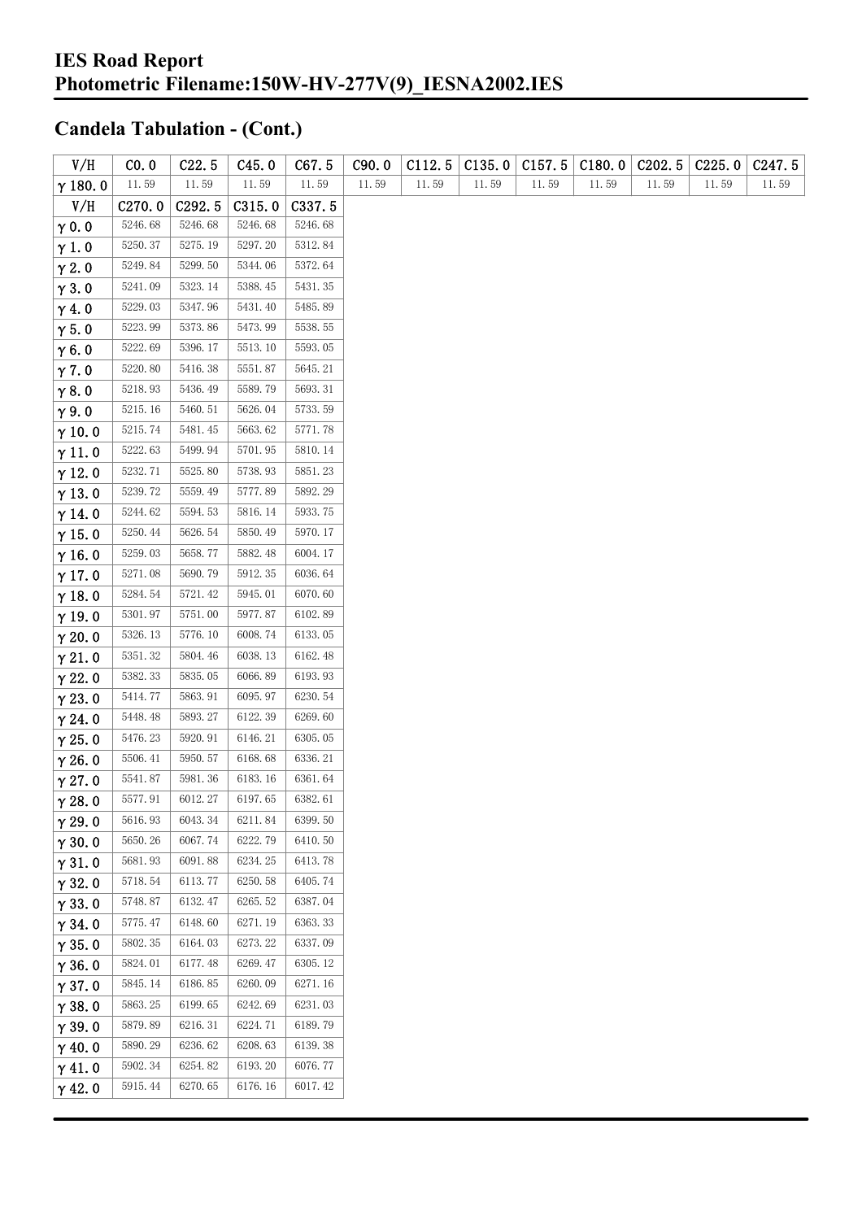| V/H            | CO.0               | C22.5   | C45.0   | C67.5   | C90.0 | C112.5 | C135.0 | C157.5 | C180.0 | C <sub>2</sub> 02.5 | C225.0 | C <sub>247.5</sub> |
|----------------|--------------------|---------|---------|---------|-------|--------|--------|--------|--------|---------------------|--------|--------------------|
| $\gamma$ 180.0 | 11.59              | 11.59   | 11.59   | 11.59   | 11.59 | 11.59  | 11.59  | 11.59  | 11.59  | 11.59               | 11.59  | 11.59              |
| V/H            | C <sub>270.0</sub> | C292.5  | C315.0  | C337.5  |       |        |        |        |        |                     |        |                    |
| $\gamma$ 0.0   | 5246.68            | 5246.68 | 5246.68 | 5246.68 |       |        |        |        |        |                     |        |                    |
| $\gamma$ 1.0   | 5250.37            | 5275.19 | 5297.20 | 5312.84 |       |        |        |        |        |                     |        |                    |
| $\gamma$ 2.0   | 5249.84            | 5299.50 | 5344.06 | 5372.64 |       |        |        |        |        |                     |        |                    |
| $\gamma$ 3.0   | 5241.09            | 5323.14 | 5388.45 | 5431.35 |       |        |        |        |        |                     |        |                    |
| $\gamma$ 4.0   | 5229.03            | 5347.96 | 5431.40 | 5485.89 |       |        |        |        |        |                     |        |                    |
| $\gamma$ 5.0   | 5223.99            | 5373.86 | 5473.99 | 5538.55 |       |        |        |        |        |                     |        |                    |
| $\gamma$ 6.0   | 5222.69            | 5396.17 | 5513.10 | 5593.05 |       |        |        |        |        |                     |        |                    |
| $\gamma$ 7.0   | 5220.80            | 5416.38 | 5551.87 | 5645.21 |       |        |        |        |        |                     |        |                    |
| $\gamma$ 8.0   | 5218.93            | 5436.49 | 5589.79 | 5693.31 |       |        |        |        |        |                     |        |                    |
| $\gamma$ 9.0   | 5215.16            | 5460.51 | 5626.04 | 5733.59 |       |        |        |        |        |                     |        |                    |
| $\gamma$ 10.0  | 5215.74            | 5481.45 | 5663.62 | 5771.78 |       |        |        |        |        |                     |        |                    |
| $\gamma$ 11.0  | 5222.63            | 5499.94 | 5701.95 | 5810.14 |       |        |        |        |        |                     |        |                    |
| $\gamma$ 12.0  | 5232.71            | 5525.80 | 5738.93 | 5851.23 |       |        |        |        |        |                     |        |                    |
| $\gamma$ 13.0  | 5239.72            | 5559.49 | 5777.89 | 5892.29 |       |        |        |        |        |                     |        |                    |
| $\gamma$ 14.0  | 5244.62            | 5594.53 | 5816.14 | 5933.75 |       |        |        |        |        |                     |        |                    |
| $\gamma$ 15.0  | 5250.44            | 5626.54 | 5850.49 | 5970.17 |       |        |        |        |        |                     |        |                    |
| $\gamma$ 16.0  | 5259.03            | 5658.77 | 5882.48 | 6004.17 |       |        |        |        |        |                     |        |                    |
| $\gamma$ 17.0  | 5271.08            | 5690.79 | 5912.35 | 6036.64 |       |        |        |        |        |                     |        |                    |
| $\gamma$ 18.0  | 5284.54            | 5721.42 | 5945.01 | 6070.60 |       |        |        |        |        |                     |        |                    |
| $\gamma$ 19.0  | 5301.97            | 5751.00 | 5977.87 | 6102.89 |       |        |        |        |        |                     |        |                    |
| $\gamma$ 20.0  | 5326.13            | 5776.10 | 6008.74 | 6133.05 |       |        |        |        |        |                     |        |                    |
| $\gamma$ 21.0  | 5351.32            | 5804.46 | 6038.13 | 6162.48 |       |        |        |        |        |                     |        |                    |
| $\gamma$ 22.0  | 5382.33            | 5835.05 | 6066.89 | 6193.93 |       |        |        |        |        |                     |        |                    |
| $\gamma$ 23.0  | 5414.77            | 5863.91 | 6095.97 | 6230.54 |       |        |        |        |        |                     |        |                    |
| $\gamma$ 24.0  | 5448.48            | 5893.27 | 6122.39 | 6269.60 |       |        |        |        |        |                     |        |                    |
| $\gamma$ 25.0  | 5476.23            | 5920.91 | 6146.21 | 6305.05 |       |        |        |        |        |                     |        |                    |
| $\gamma$ 26.0  | 5506.41            | 5950.57 | 6168.68 | 6336.21 |       |        |        |        |        |                     |        |                    |
| $\gamma$ 27.0  | 5541.87            | 5981.36 | 6183.16 | 6361.64 |       |        |        |        |        |                     |        |                    |
| $\gamma$ 28.0  | 5577.91            | 6012.27 | 6197.65 | 6382.61 |       |        |        |        |        |                     |        |                    |
| $\gamma$ 29.0  | 5616.93            | 6043.34 | 6211.84 | 6399.50 |       |        |        |        |        |                     |        |                    |
| $\gamma$ 30.0  | 5650.26            | 6067.74 | 6222.79 | 6410.50 |       |        |        |        |        |                     |        |                    |
| $\gamma$ 31.0  | 5681.93            | 6091.88 | 6234.25 | 6413.78 |       |        |        |        |        |                     |        |                    |
| $\gamma$ 32.0  | 5718.54            | 6113.77 | 6250.58 | 6405.74 |       |        |        |        |        |                     |        |                    |
| $\gamma$ 33.0  | 5748.87            | 6132.47 | 6265.52 | 6387.04 |       |        |        |        |        |                     |        |                    |
| $\gamma$ 34.0  | 5775.47            | 6148.60 | 6271.19 | 6363.33 |       |        |        |        |        |                     |        |                    |
| $\gamma$ 35.0  | 5802.35            | 6164.03 | 6273.22 | 6337.09 |       |        |        |        |        |                     |        |                    |
| $\gamma$ 36.0  | 5824.01            | 6177.48 | 6269.47 | 6305.12 |       |        |        |        |        |                     |        |                    |
| $\gamma$ 37.0  | 5845.14            | 6186.85 | 6260.09 | 6271.16 |       |        |        |        |        |                     |        |                    |
| $\gamma$ 38.0  | 5863.25            | 6199.65 | 6242.69 | 6231.03 |       |        |        |        |        |                     |        |                    |
| $\gamma$ 39.0  | 5879.89            | 6216.31 | 6224.71 | 6189.79 |       |        |        |        |        |                     |        |                    |
| $\gamma$ 40.0  | 5890.29            | 6236.62 | 6208.63 | 6139.38 |       |        |        |        |        |                     |        |                    |
| $\gamma$ 41.0  | 5902.34            | 6254.82 | 6193.20 | 6076.77 |       |        |        |        |        |                     |        |                    |
| $\gamma$ 42.0  | 5915.44            | 6270.65 | 6176.16 | 6017.42 |       |        |        |        |        |                     |        |                    |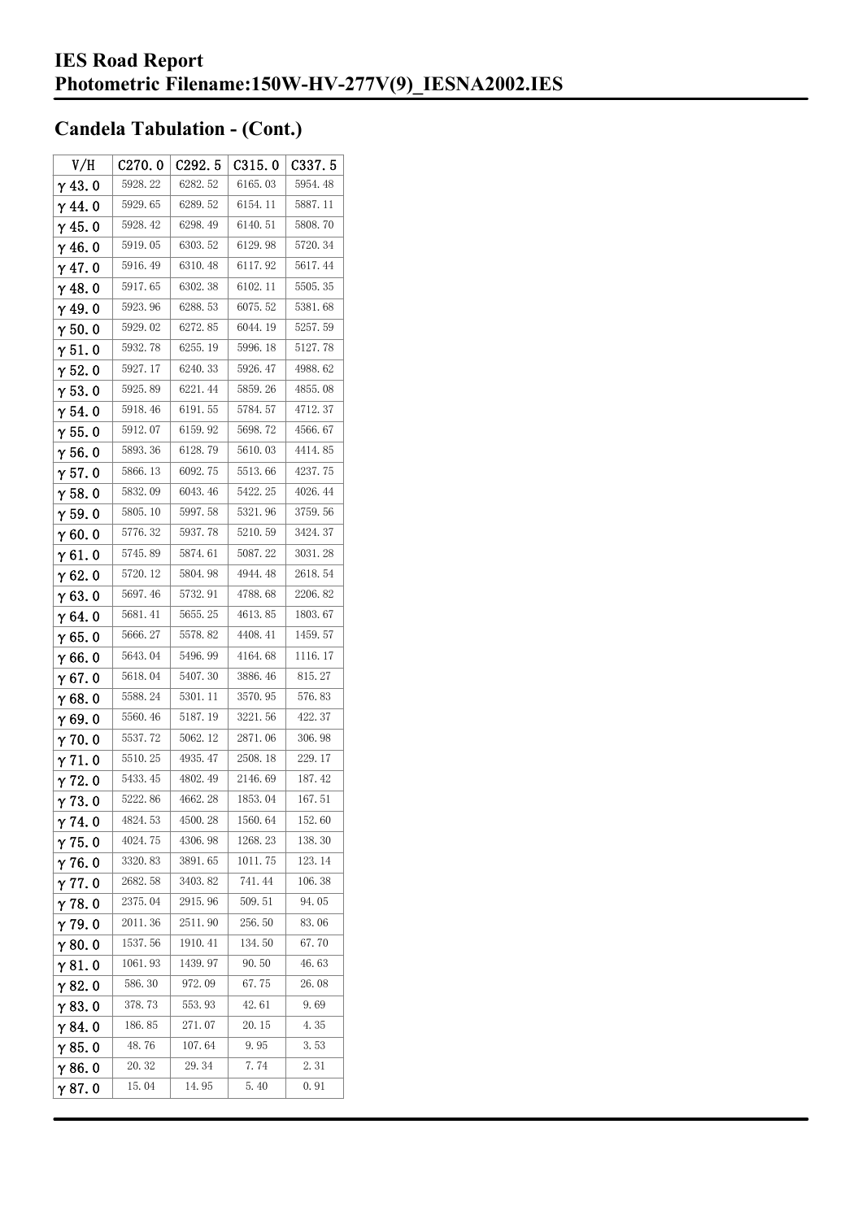| V/H            | C270.0  | C292.5  | C315.0  | C337.5  |
|----------------|---------|---------|---------|---------|
| $\gamma$ 43.0  | 5928.22 | 6282.52 | 6165.03 | 5954.48 |
| $\gamma$ 44.0  | 5929.65 | 6289.52 | 6154.11 | 5887.11 |
| $\gamma$ 45. 0 | 5928.42 | 6298.49 | 6140.51 | 5808.70 |
| γ46.0          | 5919.05 | 6303.52 | 6129.98 | 5720.34 |
| $\gamma$ 47.0  | 5916.49 | 6310.48 | 6117.92 | 5617.44 |
| $\gamma$ 48.0  | 5917.65 | 6302.38 | 6102.11 | 5505.35 |
| γ49.0          | 5923.96 | 6288.53 | 6075.52 | 5381.68 |
| $\gamma$ 50. 0 | 5929.02 | 6272.85 | 6044.19 | 5257.59 |
| $\gamma$ 51.0  | 5932.78 | 6255.19 | 5996.18 | 5127.78 |
| $\gamma$ 52. 0 | 5927.17 | 6240.33 | 5926.47 | 4988.62 |
| $\gamma$ 53.0  | 5925.89 | 6221.44 | 5859.26 | 4855.08 |
| $\gamma$ 54. 0 | 5918.46 | 6191.55 | 5784.57 | 4712.37 |
| $\gamma$ 55.0  | 5912.07 | 6159.92 | 5698.72 | 4566.67 |
| γ56.0          | 5893.36 | 6128.79 | 5610.03 | 4414.85 |
| γ57.0          | 5866.13 | 6092.75 | 5513.66 | 4237.75 |
| $\gamma$ 58.0  | 5832.09 | 6043.46 | 5422.25 | 4026.44 |
| $\gamma$ 59.0  | 5805.10 | 5997.58 | 5321.96 | 3759.56 |
| γ60.0          | 5776.32 | 5937.78 | 5210.59 | 3424.37 |
| $\gamma$ 61. 0 | 5745.89 | 5874.61 | 5087.22 | 3031.28 |
| $\gamma$ 62. 0 | 5720.12 | 5804.98 | 4944.48 | 2618.54 |
| $\gamma$ 63.0  | 5697.46 | 5732.91 | 4788.68 | 2206.82 |
| γ64.0          | 5681.41 | 5655.25 | 4613.85 | 1803.67 |
| γ65.0          | 5666.27 | 5578.82 | 4408.41 | 1459.57 |
| γ66.0          | 5643.04 | 5496.99 | 4164.68 | 1116.17 |
| $\gamma$ 67. 0 | 5618.04 | 5407.30 | 3886.46 | 815.27  |
| γ68.0          | 5588.24 | 5301.11 | 3570.95 | 576.83  |
| γ69.0          | 5560.46 | 5187.19 | 3221.56 | 422.37  |
| $\gamma$ 70.0  | 5537.72 | 5062.12 | 2871.06 | 306.98  |
| $\gamma$ 71.0  | 5510.25 | 4935.47 | 2508.18 | 229.17  |
| $\gamma$ 72.0  | 5433.45 | 4802.49 | 2146.69 | 187.42  |
| 73.0           | 5222.86 | 4662.28 | 1853.04 | 167.51  |
| $\gamma$ 74.0  | 4824.53 | 4500.28 | 1560.64 | 152.60  |
| $\gamma$ 75.0  | 4024.75 | 4306.98 | 1268.23 | 138.30  |
| $\gamma$ 76.0  | 3320.83 | 3891.65 | 1011.75 | 123.14  |
| $\gamma$ 77. 0 | 2682.58 | 3403.82 | 741.44  | 106.38  |
| $\gamma$ 78.0  | 2375.04 | 2915.96 | 509.51  | 94.05   |
| $\gamma$ 79.0  | 2011.36 | 2511.90 | 256.50  | 83.06   |
| γ80.0          | 1537.56 | 1910.41 | 134.50  | 67.70   |
| γ81.0          | 1061.93 | 1439.97 | 90.50   | 46.63   |
| γ82.0          | 586.30  | 972.09  | 67.75   | 26.08   |
| $\gamma$ 83. O | 378.73  | 553.93  | 42.61   | 9.69    |
| γ84.0          | 186.85  | 271.07  | 20. 15  | 4.35    |
| γ85.0          | 48.76   | 107.64  | 9.95    | 3.53    |
| $\gamma$ 86.0  | 20.32   | 29.34   | 7.74    | 2.31    |
| γ87.0          | 15.04   | 14.95   | 5.40    | 0.91    |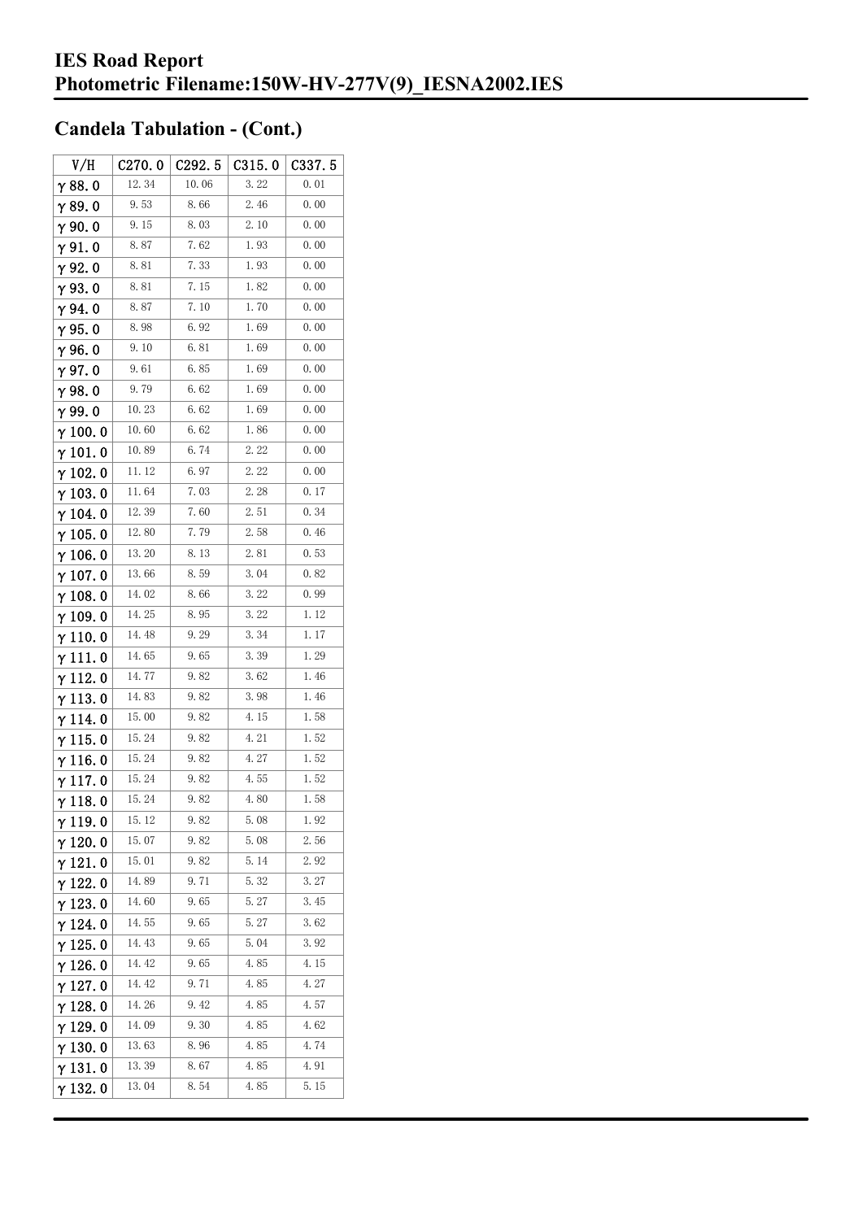| V/H             | C270.0 | C292.5 | C315.0 | C337.5 |
|-----------------|--------|--------|--------|--------|
| $\gamma$ 88.0   | 12.34  | 10.06  | 3.22   | 0.01   |
| γ89.0           | 9.53   | 8.66   | 2.46   | 0.00   |
| $\gamma$ 90.0   | 9.15   | 8.03   | 2.10   | 0.00   |
| $\gamma$ 91.0   | 8.87   | 7.62   | 1.93   | 0.00   |
| γ92.0           | 8.81   | 7.33   | 1.93   | 0.00   |
| $\gamma$ 93. 0  | 8.81   | 7.15   | 1.82   | 0.00   |
| $\gamma$ 94.0   | 8.87   | 7.10   | 1.70   | 0.00   |
| $\gamma$ 95.0   | 8.98   | 6.92   | 1.69   | 0.00   |
| γ96.0           | 9.10   | 6.81   | 1.69   | 0.00   |
| $\gamma$ 97.0   | 9.61   | 6.85   | 1.69   | 0.00   |
| $\gamma$ 98.0   | 9.79   | 6.62   | 1.69   | 0.00   |
| γ99.0           | 10.23  | 6.62   | 1.69   | 0.00   |
| $\gamma$ 100. 0 | 10.60  | 6.62   | 1.86   | 0.00   |
| $\gamma$ 101.0  | 10.89  | 6.74   | 2.22   | 0.00   |
| $\gamma$ 102.0  | 11.12  | 6.97   | 2.22   | 0.00   |
| $\gamma$ 103. 0 | 11.64  | 7.03   | 2.28   | 0.17   |
| $\gamma$ 104. 0 | 12.39  | 7.60   | 2.51   | 0.34   |
| $\gamma$ 105.0  | 12.80  | 7.79   | 2.58   | 0.46   |
| γ106.0          | 13.20  | 8.13   | 2.81   | 0.53   |
| $\gamma$ 107. 0 | 13.66  | 8.59   | 3.04   | 0.82   |
| $\gamma$ 108. 0 | 14.02  | 8.66   | 3.22   | 0.99   |
| $\gamma$ 109. 0 | 14.25  | 8.95   | 3.22   | 1.12   |
| $\gamma$ 110. 0 | 14.48  | 9.29   | 3.34   | 1.17   |
| γ111.0          | 14.65  | 9.65   | 3.39   | 1.29   |
| $\gamma$ 112. 0 | 14.77  | 9.82   | 3.62   | 1.46   |
| $\gamma$ 113. 0 | 14.83  | 9.82   | 3.98   | 1.46   |
| γ 114. 0        | 15.00  | 9.82   | 4.15   | 1.58   |
| $\gamma$ 115.0  | 15.24  | 9.82   | 4.21   | 1.52   |
| γ116.0          | 15.24  | 9.82   | 4.27   | 1.52   |
| γ 117. 0        | 15.24  | 9.82   | 4.55   | 1.52   |
| $\gamma$ 118.0  | 15.24  | 9.82   | 4.80   | 1.58   |
| $\gamma$ 119.0  | 15.12  | 9.82   | 5.08   | 1.92   |
| $\gamma$ 120. 0 | 15.07  | 9.82   | 5.08   | 2.56   |
| $\gamma$ 121.0  | 15.01  | 9. 82  | 5.14   | 2.92   |
| $\gamma$ 122.0  | 14.89  | 9.71   | 5.32   | 3.27   |
| $\gamma$ 123.0  | 14.60  | 9.65   | 5.27   | 3.45   |
| $\gamma$ 124. 0 | 14.55  | 9.65   | 5.27   | 3.62   |
| γ 125. 0        | 14.43  | 9.65   | 5.04   | 3.92   |
| $\gamma$ 126.0  | 14.42  | 9.65   | 4.85   | 4.15   |
| $\gamma$ 127. 0 | 14.42  | 9.71   | 4.85   | 4.27   |
| $\gamma$ 128. 0 | 14.26  | 9.42   | 4.85   | 4.57   |
| γ 129. 0        | 14.09  | 9.30   | 4.85   | 4.62   |
| $\gamma$ 130. 0 | 13.63  | 8.96   | 4.85   | 4.74   |
| γ131.0          | 13.39  | 8.67   | 4.85   | 4.91   |
| $\gamma$ 132. 0 | 13.04  | 8.54   | 4.85   | 5.15   |
|                 |        |        |        |        |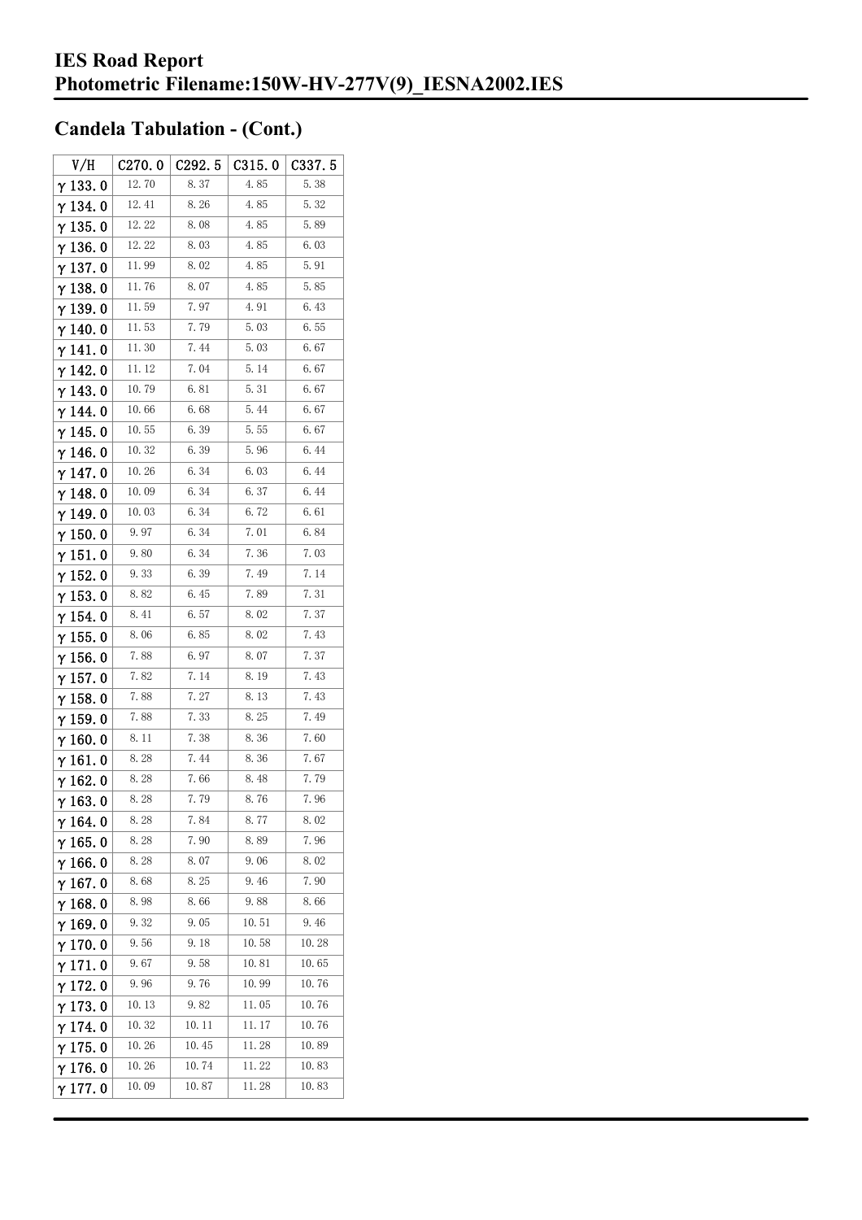| V/H             | C270.0 | C292.5 | C315.0 | C337.5 |
|-----------------|--------|--------|--------|--------|
| $\gamma$ 133.0  | 12.70  | 8.37   | 4.85   | 5.38   |
| $\gamma$ 134.0  | 12.41  | 8.26   | 4.85   | 5.32   |
| $\gamma$ 135. 0 | 12.22  | 8.08   | 4.85   | 5.89   |
| $\gamma$ 136.0  | 12.22  | 8.03   | 4.85   | 6.03   |
| $\gamma$ 137.0  | 11.99  | 8.02   | 4.85   | 5.91   |
| $\gamma$ 138.0  | 11.76  | 8.07   | 4.85   | 5.85   |
| γ139.0          | 11.59  | 7.97   | 4.91   | 6.43   |
| $\gamma$ 140. 0 | 11.53  | 7.79   | 5.03   | 6.55   |
| $\gamma$ 141.0  | 11.30  | 7.44   | 5.03   | 6.67   |
| $\gamma$ 142. 0 | 11.12  | 7.04   | 5.14   | 6.67   |
| $\gamma$ 143.0  | 10.79  | 6.81   | 5.31   | 6.67   |
| $\gamma$ 144. 0 | 10.66  | 6.68   | 5.44   | 6.67   |
| $\gamma$ 145. 0 | 10.55  | 6.39   | 5.55   | 6.67   |
| γ146.0          | 10.32  | 6.39   | 5.96   | 6.44   |
| γ147.0          | 10.26  | 6.34   | 6.03   | 6.44   |
| $\gamma$ 148. 0 | 10.09  | 6.34   | 6.37   | 6.44   |
| γ 149. 0        | 10.03  | 6.34   | 6.72   | 6.61   |
| $\gamma$ 150. 0 | 9.97   | 6.34   | 7.01   | 6.84   |
| $\gamma$ 151.0  | 9.80   | 6.34   | 7.36   | 7.03   |
| $\gamma$ 152. 0 | 9.33   | 6.39   | 7.49   | 7.14   |
| $\gamma$ 153. 0 | 8.82   | 6.45   | 7.89   | 7.31   |
| $\gamma$ 154. 0 | 8.41   | 6.57   | 8.02   | 7.37   |
| $\gamma$ 155. 0 | 8.06   | 6.85   | 8.02   | 7.43   |
| $\gamma$ 156. 0 | 7.88   | 6.97   | 8.07   | 7.37   |
| $\gamma$ 157. 0 | 7.82   | 7. 14  | 8.19   | 7.43   |
| $\gamma$ 158. 0 | 7.88   | 7.27   | 8.13   | 7.43   |
| $\gamma$ 159.0  | 7.88   | 7.33   | 8.25   | 7.49   |
| $\gamma$ 160.0  | 8.11   | 7.38   | 8.36   | 7.60   |
| $\gamma$ 161. 0 | 8.28   | 7.44   | 8.36   | 7.67   |
| $\gamma$ 162.0  | 8.28   | 7.66   | 8.48   | 7.79   |
| $\gamma$ 163.0  | 8.28   | 7.79   | 8.76   | 7.96   |
| $\gamma$ 164. 0 | 8.28   | 7.84   | 8.77   | 8.02   |
| $\gamma$ 165. 0 | 8.28   | 7.90   | 8.89   | 7.96   |
| $\gamma$ 166.0  | 8.28   | 8.07   | 9.06   | 8.02   |
| $\gamma$ 167.0  | 8.68   | 8.25   | 9.46   | 7.90   |
| $\gamma$ 168. 0 | 8.98   | 8.66   | 9.88   | 8.66   |
| $\gamma$ 169.0  | 9.32   | 9.05   | 10.51  | 9.46   |
| $\gamma$ 170.0  | 9.56   | 9.18   | 10.58  | 10.28  |
| $\gamma$ 171. 0 | 9.67   | 9.58   | 10.81  | 10.65  |
| $\gamma$ 172. 0 | 9.96   | 9.76   | 10.99  | 10.76  |
| $\gamma$ 173.0  | 10.13  | 9.82   | 11.05  | 10.76  |
| γ 174. 0        | 10.32  | 10.11  | 11.17  | 10.76  |
| $\gamma$ 175. 0 | 10.26  | 10.45  | 11.28  | 10.89  |
| $\gamma$ 176.0  | 10.26  | 10.74  | 11.22  | 10.83  |
| γ177.0          | 10.09  | 10.87  | 11.28  | 10.83  |